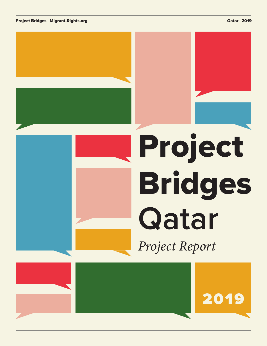Project Bridges | Migrant-Rights.org Qatar | 2019 November 2019 November 2019 November 2019 November 2019 November 2019

# Project Bridges *Project Report* **Qatar**

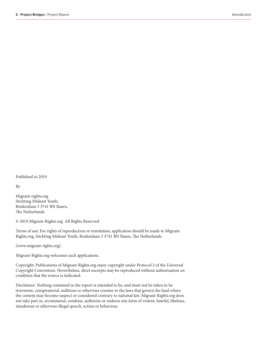Published in 2019

By

Migrant-rights.org Stichting Mideast Youth, Beukenlaan 5 3741 BN Baarn, The Netherlands

© 2019 Migrant-Rights.org All Rights Reserved

Terms of use: For rights of reproduction or translation, application should be made to Migrant-Rights.org, Stichting Mideast Youth, Beukenlaan 5 3741 BN Baarn, The Netherlands.

(www.migrant-rights.org).

Migrant-Rights.org welcomes such applications.

Copyright: Publications of Migrant-Rights.org enjoy copyright under Protocol 2 of the Universal Copyright Convention. Nevertheless, short excerpts may be reproduced without authorization on condition that the source is indicated.

Disclaimer: Nothing contained in the report is intended to be, and must not be taken to be irreverent, conspiratorial, seditious or otherwise counter to the laws that govern the land where the content may become suspect or considered contrary to national law. Migrant-Rights.org does not take part in, recommend, condone, authorise or endorse any form of violent, hateful, libelous, slanderous or otherwise illegal speech, action or behaviour.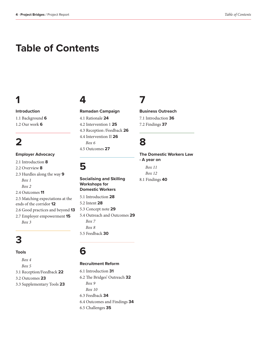# **Table of Contents**

# **1**

**Introduction** 1.1 Background **6** 1.2 Our work **6**

# **2**

**Employer Advocacy**

- 2.1 Introduction **8**
- 2.2 Overview **8**

2.3 Hurdles along the way **9** *Box 1 Box 2*  2.4 Outcomes **11** 2.5 Matching expectations at the ends of the corridor **12** 2.6 Good practices and beyond **13** 2.7 Employer empowerment **15**

*Box 3*

# **3**

### **Tools**

*Box 4 Box 5* 3.1 Reception/Feedback **22** 3.2 Outcomes **23** 3.3 Supplementary Tools **23**

# **4**

**Ramadan Campaign** 4.1 Rationale **24** 4.2 Intervention 1 **25** 4.3 Reception /Feedback **26** 4.4 Intervention II **26** *Box 6* 4.5 Outcomes **27**

# **5**

**Socialising and Skilling Workshops for Domestic Workers** 5.1 Introduction **28** 5.2 Intent **28** 5.3 Concept note **29** 5.4 Outreach and Outcomes **29** *Box 7*

*Box 8* 5.5 Feedback **30**

## **6**

### **Recruitment Reform**

6.1 Introduction **31** 6.2 The Bridges' Outreach **32** *Box 9 Box 10* 6.3 Feedback **34** 6.4 Outcomes and Findings **34** 6.5 Challenges **35**

# **7**

**Business Outreach** 

7.1 Introduction **36** 7.2 Findings **37**

# **8**

**The Domestic Workers Law - A year on**  *Box 11 Box 12* 

8.1 Findings **40**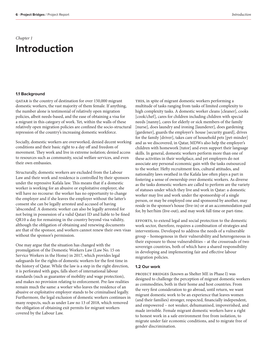### *Chapter 1*

# **Introduction**

### **1.1 Background**

QATAR is the country of destination for over 150,000 migrant domestic workers, the vast majority of them female. If anything, the number alone is testimonial of relatively open migration policies, albeit needs-based, and the ease of obtaining a visa for a migrant in this category of work. Yet, within the walls of these relatively open migration policies are confined the socio-structural repression of the country's increasing domestic workforce.

Socially, domestic workers are overworked, denied decent working conditions and their basic right to a day off and freedom of movement. They work and live in extreme isolation; denied access to resources such as community, social welfare services, and even their own embassies.

Structurally, domestic workers are excluded from the Labour Law and their work and residence is controlled by their sponsors under the repressive Kafala law. This means that if a domestic worker is working for an abusive or exploitative employer, she will have no recourse: the worker has no opportunity to change the employer and if she leaves the employer without the latter's consent she can be legally arrested and accused of having 'absconded'. A domestic worker can also be legally arrested for not being in possession of a valid Qatari ID and liable to be fined QR10 a day for remaining in the country beyond visa validity, although the obligation of obtaining and renewing documents are that of the sponsor, and workers cannot renew their own visas without the sponsor's permission.

One may argue that the situation has changed with the promulgation of the Domestic Workers Law (Law No. 15 on Service Workers in the Home) in 2017, which provides legal safeguards for the rights of domestic workers for the first time in the history of Qatar. While the law is a step in the right direction, it is perforated with gaps, falls short of international labour standards (such as guarantee of mobility and wage protection), and makes no provision relating to enforcement. Pre-law realities remain much the same: a worker who leaves the residence of an abusive or exploitative employer stands to be criminalised legally. Furthermore, the legal exclusion of domestic workers continues in many respects, such as under Law no 13 of 2018, which removed the obligation of obtaining exit permits for migrant workers covered by the Labour Law.

THIS, in spite of migrant domestic workers performing a multitude of tasks ranging from tasks of limited complexity to high complexity tasks. A domestic worker cleans [cleaner], cooks [cook/chef], cares for children including children with special needs [nanny], cares for elderly or sick members of the family [nurse], does laundry and ironing [launderer], does gardening [gardener], guards the employer's house [security guard], drives for the family [driver], takes care of household pets [pet-minder] and as we discovered, in Qatar, MDWs also help the employer's children with homework [tutor] and even support their language skills. In general, domestic workers perform more than one of these activities in their workplace, and yet employers do not associate any personal economic gain with the tasks outsourced to the worker. Hefty recruitment fees, cultural attitudes, and nationality laws swathed in the Kafala law often plays a part in fostering a sense of ownership over domestic workers. As diverse as the tasks domestic workers are called to perform are the variety of statuses under which they live and work in Qatar: a domestic worker may live and work under the sponsorship of a single person, or may be employed one and sponsored by another, may reside in the sponsor's house (live-in) or at an accommodation paid for, by her/him (live-out), and may work full time or part-time.

EFFORTS, to extend legal and social protection to the domestic work sector, therefore, requires a combination of strategies and interventions. Developed to address the needs of a vulnerable group – homogenous in their vulnerability and heterogeneous in their exposure to those vulnerabilities – at the crossroads of two sovereign countries, both of which have a shared responsibility in developing and implementing fair and effective labour migration policies.

### **1.2 Our work**

project bridges (known as Shelter ME in Phase I) was designed to challenge the perception of migrant domestic workers as commodities, both in their home and host countries. From the very first consideration to go abroad, until return, we want migrant domestic work to be an experience that leaves women (and their families) stronger, respected, financially independent, and empowered – not weaker, dehumanised, impoverished, and made invisible. Female migrant domestic workers have a right to honest work in a safe environment free from isolation, to migrate under fair economic conditions, and to migrate free of gender discrimination.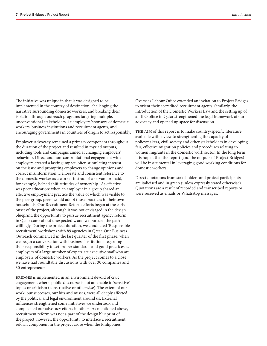The initiative was unique in that it was designed to be implemented in the country of destination, challenging the narrative surrounding domestic workers, and breaking their isolation through outreach programs targeting multiple, unconventional stakeholders, i.e employers/sponsors of domestic workers, business institutions and recruitment agents, and encouraging governments in countries of origin to act responsibly.

Employer Advocacy remained a primary component throughout the duration of the project and resulted in myriad outputs, including tools and campaigns aimed at changing employers' behaviour. Direct and non-confrontational engagement with employers created a lasting impact, often stimulating interest on the issue and prompting employers to change opinions and correct misinformation. Deliberate and consistent reference to the domestic worker as a worker instead of a servant or maid, for example, helped shift attitudes of ownership. As effective was peer education: when an employer in a group shared an effective employment practice the value of which was visible to the peer group, peers would adopt those practices in their own households. Our Recruitment Reform efforts began at the early onset of the project, although it was not envisaged in the design blueprint, the opportunity to pursue recruitment agency reform in Qatar came about unexpectedly, and we pursued the path willingly. During the project duration, we conducted 'Responsible recruitment' workshops with 89 agencies in Qatar. Our Business Outreach commenced in the last quarter of the first phase, when we began a conversation with business institutions regarding their responsibility to set proper standards and good practices as employers of a large number of expatriate executive staff who are employers of domestic workers. As the project comes to a close we have had roundtable discussions with over 30 companies and 30 entrepreneurs.

BRIDGES is implemented in an environment devoid of civic engagement, where public discourse is not amenable to 'sensitive' topics or criticism (constructive or otherwise). The extent of our work, our successes, our hits and misses, were all deeply affected by the political and legal environment around us. External influences strengthened some initiatives we undertook and complicated our advocacy efforts in others. As mentioned above, recruitment reform was not a part of the design blueprint of the project, however, the opportunity to interlace a recruitment reform component in the project arose when the Philippines

Overseas Labour Office extended an invitation to Project Bridges to orient their accredited recruitment agents. Similarly, the introduction of the Domestic Workers Law and the setting up of an ILO office in Qatar strengthened the legal framework of our advocacy and opened up space for discussion.

THE AIM of this report is to make country-specific literature available with a view to strengthening the capacity of policymakers, civil society and other stakeholders in developing fair, effective migration policies and procedures relating to women migrants in the domestic work sector. In the long term, it is hoped that the report (and the outputs of Project Bridges) will be instrumental in leveraging good working conditions for domestic workers.

Direct quotations from stakeholders and project participants are italicised and in green (unless expressly stated otherwise). Quotations are a result of recorded and transcribed reports or were received as emails or WhatsApp messages.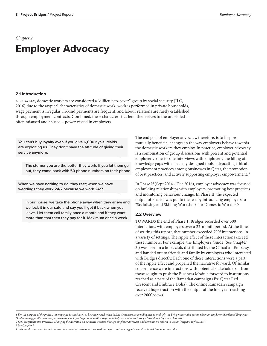# **Employer Advocacy**

### **2.1 Introduction**

GLOBALLY, domestic workers are considered a "difficult-to-cover" group by social security (ILO, 2016) due to the atypical characteristics of domestic work: work is performed in private households, wage payment is irregular, in-kind payments are frequent, and labour relations are rarely established through employment contracts. Combined, these characteristics lend themselves to the unbridled – often misused and abused – power vested in employers.

**You can't buy loyalty even if you give 6,000 riyals. Maids are exploiting us. They don't have the attitude of giving their service anymore.**

**The sterner you are the better they work. If you let them go out, they come back with 50 phone numbers on their phone.**

**When we have nothing to do, they rest; when we have weddings they work 24/7 because we work 24/7.**

**In our house, we take the phone away when they arrive and we lock it in our safe and say you'll get it back when you leave. I let them call family once a month and if they want more than that then they pay for it. Maximum once a week.** 

The end goal of employer advocacy, therefore, is to inspire mutually beneficial changes in the way employers behave towards the domestic workers they employ. In practice, employer advocacy is a combination of group discussions with present and potential employers, one-to-one interviews with employers, the filling of knowledge gaps with specially designed tools, advocating ethical employment practices among businesses in Qatar, the promotion of best practices, and actively supporting employer empowerment.<sup>1</sup>

In Phase I<sup>2</sup> (Sept 2014 - Dec 2016), employer advocacy was focused on building relationships with employers, promoting best practices and monitoring behaviour change. In Phase II, the expected output of Phase I was put to the test by introducing employers to "Socialising and Skilling Workshops for Domestic Workers".3

### **2.2 Overview**

TOWARDS the end of Phase 1, Bridges recorded over 500 interactions with employers over a 22-month period. At the time of writing this report, that number exceeded 700<sup>4</sup> interactions, in a variety of settings. The ripple effect of these interactions exceed these numbers. For example, the Employer's Guide (See Chapter 3 ) was used in a book club, distributed by the Canadian Embassy, and handed out to friends and family by employers who interacted with Bridges directly. Each one of these interactions were a part of the ripple effect and propelled the narrative forward. Of similar consequence were interactions with potential stakeholders – from those sought to push the Business Module forward to institutions reached as a part of the Ramadan campaign (Ex: Qatar Red Crescent and Embrace Doha). The online Ramadan campaign received huge traction with the output of the first year reaching over 2000 views.

*3 See Chapter 5*

*<sup>1</sup> For the purpose of the project, an employer is considered to be empowered when he/she demonstrates a willingness to multiply the Bridges narrative (as in, when an employer distributed Employer Guides among family members) or when an employer flags abuse and/or steps up to help such workers through formal and informal channels. 2 See Perceptions and Practices: Changing the narrative on domestic workers through employer advocacy and recruitment reform in Qatar (Migrant Rights,, 2017*

*<sup>4</sup> This number does not include indirect interactions, such as was secured through recruitment agents who distributed Ramadan calendars*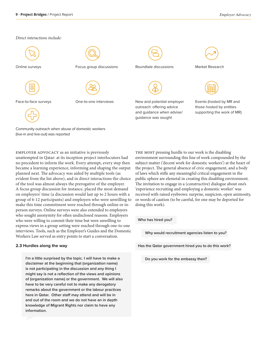### *Direct interactions include:*



employer advocacy as an initiative is previously unattempted in Qatar: at its inception project interlocutors had no precedent to inform the work. Every attempt, every step then became a learning experience, informing and shaping the output planned next. The advocacy was aided by multiple tools (as evident from the list above), and in direct interactions the choice of the tool was almost always the prerogative of the employer. A focus group discussion for instance, placed the most demand on employers' time (a discussion would last up to 2 hours with a group of 6-12 participants) and employers who were unwilling to make this time commitment were reached through online or inperson surveys. Online surveys were also extended to employers who sought anonymity for often undisclosed reasons. Employers who were willing to commit their time but were unwilling to express views in a group setting were reached through one-to-one interviews. Tools, such as the Employer's Guides and the Domestic Workers Law served as entry points to start a conversation.

### **2.3 Hurdles along the way**

**I'm a little surprised by the topic. I will have to make a disclaimer at the beginning that (organization name) is not participating in the discussion and any thing I might say is not a reflection of the views and opinions of (organization name) or the government. We will also have to be very careful not to make any derogatory remarks about the government or the labour practices here in Qatar. Other staff may attend and will be in and out of the room and we do not have an in depth knowledge of Migrant Rights nor claim to have any information.**

THE MOST pressing hurdle to our work is the disabling environment surrounding this line of work compounded by the subject matter ('decent work for domestic workers') at the heart of the project. The general absence of civic engagement, and a body of laws which stifle any meaningful critical engagement in the public sphere are elemetal in creating this disabling environment. The invitation to engage in a (constructive) dialogue about one's 'experience recruiting and employing a domestic worker' was received with raised eyebrows: surprise, suspicion, open animosity, or words of caution (to be careful, for one may be deported for doing this work).

**Who has hired you?** 

**Why would recruitment agencies listen to you?** 

**Has the Qatar government hired you to do this work?**

**Do you work for the embassy then?**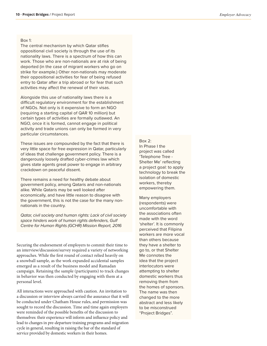### Box 1:

The central mechanism by which Qatar stifles oppositional civil society is through the use of its nationality laws. There is a spectrum of how this can work. Those who are non-nationals are at risk of being deported (in the case of migrant workers who go on strike for example.) Other non-nationals may moderate their oppositional activities for fear of being refused entry to Qatar after a trip abroad or for fear that such activities may affect the renewal of their visas.

Alongside this use of nationality laws there is a difficult regulatory environment for the establishment of NGOs. Not only is it expensive to form an NGO (requiring a starting capital of QAR 10 million) but certain types of activities are formally outlawed. An NGO, once it is formed, cannot engage in political activity and trade unions can only be formed in very particular circumstances.

These issues are compounded by the fact that there is very little space for free expression in Qatar, particularly of ideas that challenge government policy. There is a dangerously loosely drafted cyber-crimes law which gives state agents great power to engage in arbitrary crackdown on peaceful dissent.

There remains a need for healthy debate about government policy, among Qataris and non-nationals alike. While Qataris may be well looked after economically, and have little reason to disagree with the government, this is not the case for the many nonnationals in the country.

*Qatar, civil society and human rights: Lack of civil society space hinders work of human rights defenders, Gulf Centre for Human Rights (GCHR) Mission Report, 2016*

Securing the endorsement of employers to commit their time to an interview/discussion/survey required a variety of networking approaches. While the first round of contact relied heavily on a snowball sample, as the work expanded accidental samples emerged as a result of the business model and Ramadan campaign. Retaining the sample (participants) to track changes in behavior was then conducted by engaging with them at a personal level.

All interactions were approached with caution. An invitation to a discussion or interview always carried the assurance that it will be conducted under Chatham House rules, and permission was sought to record the discussion. Time and time again employers were reminded of the possible benefits of the discussion to themselves: their experience will inform and influence policy and lead to changes in pre-departure training programs and migration cycle in general, resulting in raising the bar of the standard of service provided by domestic workers in their homes.

Box 2: In Phase I the project was called 'Telephone Tree - Shelter Me' reflecting a project goal: to apply technology to break the isolation of domestic workers, thereby empowering them.

Many employers (respondents) were uncomfortable with the associations often made with the word 'shelter'. It is commonly perceived that Filipina workers are more vocal than others because they have a shelter to go to, or that Shelter Me connotes the idea that the project interlocutors were attempting to shelter domestic workers thus removing them from the homes of sponsors. The name was then changed to the more abstract and less likely to be misconstrued "Project Bridges".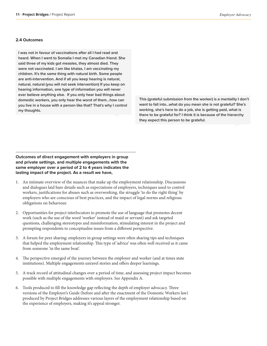### **2.4 Outcomes**

**I was not in favour of vaccinations after all I had read and heard. When I went to Somalia I met my Canadian friend. She said three of my kids got measles, they almost died. They were not vaccinated. I am like khalas, I am vaccinating my children. It's the same thing with natural birth. Some people are anti-intervention. And if all you keep hearing is natural, natural, natural (you will not seek intervention) If you keep on hearing information, one type of information you will never ever believe anything else. If you only hear bad things about domestic workers, you only hear the worst of them…how can you live in a house with a person like that? That's why I control my thoughts.** 

**This (grateful submission from the worker) is a mentality I don't want to fall into…what do you mean she is not grateful? She's working, she's here to do a job, she is getting paid, what is there to be grateful for? I think it is because of the hierarchy they expect this person to be grateful.**

### **Outcomes of direct engagement with employers in group and private settings, and multiple engagements with the same employer over a period of 2 to 4 years indicates the lasting impact of the project. As a result we have,**

- 1. An intimate overview of the nuances that make up the employment relationship. Discussions and dialogues laid bare details such as expectations of employers, techniques used to control workers, justifications for abuses such as overworking, the struggle 'to do the right thing' by employers who are conscious of best practices, and the impact of legal norms and religious obligations on behaviour.
- 2. Opportunities for project interlocutors to promote the use of language that promotes decent work (such as the use of the word 'worker' instead of maid or servant) and ask targeted questions, challenging stereotypes and misinformation, stimulating interest in the project and prompting respondents to conceptualise issues from a different perspective.
- 3. A forum for peer sharing: employers in group settings were often sharing tips and techniques that helped the employment relationship. This type of 'advice' was often well received as it came from someone 'in the same boat'.
- 4. The perspective emerged of the journey between the employer and worker (and at times state institutions). Multiple engagements unravel stories and offers deeper learnings.
- 5. A track record of attitudinal changes over a period of time, and assessing project impact becomes possible with multiple engagements with employers. See Appendix A.
- 6. Tools produced to fill the knowledge gap reflecting the depth of employer advocacy. Three versions of the Employer's Guide (before and after the enactment of the Domestic Workers law) produced by Project Bridges addresses various layers of the employment relationship based on the experience of employers, making it's appeal stronger.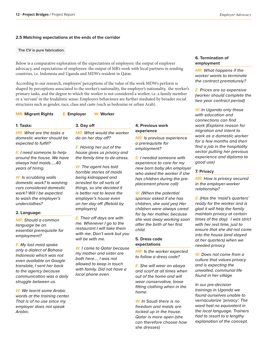### **2.5 Matching expectations at the ends of the corridor**

### **The CV is pure fabrication.**

Below is a comparative exploration of the expectations of employers: the output of employer advocacy, and expectations of employees: the output of MR's work with local partners in sending countries, i.e. Indonesia and Uganda and MDWs resident in Qatar.

According to our research, employers' perceptions of the value of the work MDWs perform is shaped by perceptions associated to the worker's nationality, the employer's nationality, the worker's primary tasks, and the degree to which the worker is not considered a worker, i.e. a family member or a 'servant' in the feudalistic sense. Employers behaviours are further mediated by broader social structures such as gender, race, class and caste (such as bedouine or urban Arab).

### **MR: Migrant Rights E: Employer W: Worker**

### **1. Tasks:**

*MR: What are the tasks a domestic worker should be expected to fulfill?* 

*E: I need someone to helparound the house. We have always had maids…..40 years of hiring.* 

*W: Is scrubbing walls domestic work? Is washing cars considered domestic work? Will I be expected to wash the employer's underclothes?*

### **2. Language:**

*MR: Should a common language be an essential prerequisite for employment?* 

*E: My last maid spoke only a dialect of Bahasa Indonesia which was not even available on Google translate, I sent her back to the agency because communication was a daily struggle between us.* 

*W: We learnt some Arabic words at the training center. That is of no use since my employer does not speak Arabic.*

### **3. Day off**

*MR: What would the worker do on her day off?* 

*E: Having her out of the house gives us privacy and the family time to de-stress.*

*W: The agent has told horrible stories of maids being kidnapped and arrested for all sorts of things, so she decided it is better not to leave the employer's house even on her day off. (Retold by employers)*

*E: Their off days are with me. Whenever I go to the restaurant I will take them with me. Don't work but you will be with me.* 

*W: I came to Qatar because my mother and sister are both here…. I was not allowed to keep in touch with family. Did not have a local phone even.*

### **4. Previous work experience**

*MR: Is previous experience a prerequisite for employment?* 

*E: I needed someone with experience to care for my new born baby (An employer who asked the worker if she has children during the preplacement phone call)*

*W: (When the potential sponsor asked if she has children, she said yes) Her children were always cared for by her mother, because she was away working soon after the birth of her first child.* 

### **5. Dress code expectations**

*MR: Is the worker expected to follow a dress code?* 

*E: She will wear an abaya and scarf at all times when out of the home and will wear conservative, loose fitting clothing when in the home.*

*W: In Saudi there is no freedom and maids are locked up in the house. Qatar is more open (she can therefore choose how she dresses)*

### **6. Termination of employment**

*MR: What happens if the worker wants to terminate the contract prematurely?* 

*E: Prices are so expensive (worker should complete the two year contract period)*

*W: In Uganda only those with education and connections can find work (Explains reason for migration and intent to work as a domestic worker for a few months and then find a job in the hospitality sector putting her previous experience and diploma to good use)*

### **7. Privacy**

*MR: How is privacy secured in the employer-worker relationship?* 

*E: (Has the 'maid's quarters' ready for the worker and is glad it will help the family maintain privacy at certain times of the day). I was strict with her rest time, just to ensure that she did not come into the house (and stayed at her quarters) when we needed privacy*

*W: Does not come from a culture that values privacy and is expecting the unwalled, communal life found in her village*

*In our pre-decision trainings in Uganda we found ourselves unable to vernacularize 'privacy'. The word had no equivalent in the local language. Trainers had to resort to a lengthy explanation of the concept.*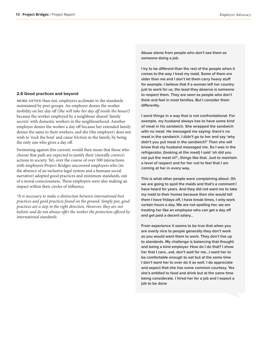### **2.6 Good practices and beyond**

MORE OFTEN than not, employers acclimate to the standards maintained by peer groups. An employer denies the worker mobility on her day off *(She will take her day off inside the house!)*  because the worker employed by a neighbour shared 'family secrets' with domestic workers in the neighbourhood. Another employer denies the worker a day off because her extended family denies the same to their workers, and she (the employer) does not wish to 'rock the boat' and cause friction in the family, by being the only one who gives a day off.

Swimming against this current, would then mean that those who choose that path are expected to justify their (morally correct) actions to society. Yet, over the course of over 500 interactions with employers Project Bridges uncovered employers who (in the absence of an inclusive legal system and a humane social narrative) adopted good practices and minimum standards, out of a moral consciousness. These employers were also making an impact within their circles of influence.

*\*It is necessary to make a distinction between international best practices and good practices found on the ground. Simply put, good practices are a step in the right direction. However, they are not holistic and do not always offer the worker the protection offered by international standards.* 

**Abuse stems from people who don't see them as someone doing a job.** 

**I try to be different than the rest of the people when it comes to the way I treat my maid. Some of them are older than me and I don't let them carry heavy stuff for example. I believe that if a woman left her country just to work for us, the least they deserve is someone to respect them. They are seen as people who don't think and feel in most families. But I consider them differently.**

**I word things in a way that is not confrontational. For example, my husband always has to have some kind of meat in his sandwich. She wrapped the sandwich with no meat. He messaged me saying: there's no meat in the sandwich. I didn't go to her and say 'why didn't you put meat in the sandwich?' Then she will know that my husband messaged me. So I was in the refrigerator, (looking at the meat) I said 'oh did you not put the meat in?'…things like that. Just to maintain a level of respect and for her not to feel that I am coming at her in every way.**

**This is what other people were complaining about. Oh we are going to spoil the maids and that's a comment I have heard for years. And they did not want me to take my maid to their homes because then she would tell them I have fridays off, I have break times, I only work certain hours a day. We are not spoiling her, we are treating her like an employee who can get a day off and get paid a decent salary…**

**From experience it seems to be true that when you are overly nice to people generally they don't work as you would want them to work. They don't live up to standards. My challenge is balancing that thought and being a kind employer. How do I do that? I show her that I care…eat, don't wait for me…I want her to be comfortable enough to eat but at the same time I don't want her to over do it as well. I do appreciate and expect that she has some common courtesy. Yes she's entitled to food and drink but at the same time being considerate. I hired her for a job and I expect a job to be done**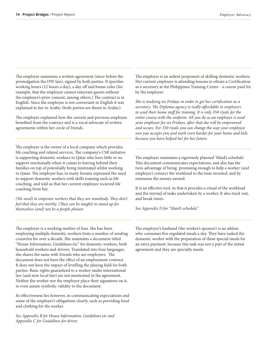The employer maintains a written agreement (since before the promulgation the DW law), signed by both parties. It specifies working hours (12 hours a day), a day off and house rules (for example, that the employee cannot entertain guests without the employer's prior consent, among others.) The contract is in English. Since the employee is not conversant in English it was explained to her in Arabic (both parties are fluent in Arabic).

The employer explained how the current and previous employee benefited from the contract and is a vocal advocate of written agreements within her circle of friends.

The employer is the owner of a local company which provides life coaching and related services. The company's CSR initiative is supporting domestic workers in Qatar who have little or no support emotionally when it comes to leaving behind their families on top of potentially being mistreated whilst working in Qatar. The employer has, in many forums expressed the need to support domestic workers with skills training such as life coaching, and told us that her current employee recieved life coaching from her.

*(We need) to empower workers that they are somebody. They don't feel that they are worthy. (They can be taught) to stand up for themselves (and) not be a people pleaser.* 

The employer is an ardent proponent of skilling domestic workers. Her current employee is attending lessons to obtain a Certification as a secretary at the Philippines Training Centre - a course paid for by the employer.

*She is studying six Fridays in order to get her certification as a secretary. The Diploma agency is really affordable to employers to send their home staff for training. It is only 350 riyals for the entire course with the uniform. All you do as an employer is send your employee for six Fridays, after that she will be empowered and secure. For 350 riyals you can change the way your employee sees you accepts you and work even harder for your home and kids because you have helped her for her future.* 

The employer maintains a rigorously planned 'Maid's schedule'. This document communicates expectations, and also has the twin advantage of being promising enough to help a worker (and employer) connect the workload to the time invested, and by extension the money earned.

It is an effective tool, in that it provides a visual of the workload and the myriad of tasks undertaken by a worker. It also track rest, and break times.

*See Appendix D for "Maid's schedule"*

The employer is a working mother of four. She has been employing multiple domestic workers from a number of sending countries for over a decade. She maintains a document titled "House Information, Guidelines etc" for domestic workers, both household workers and drivers. Translated into four languages, she shares the same with friends who are employers. The document does not have the effect of an employment contract. It does not have the impact of levelling the playing field for both parties. Basic rights guaranteed to a worker under international law (and now local law) are not mentioned in the agreement. Neither the worker nor the employer place their signatures on it, to even assure symbolic validity to the document.

Its effectiveness lies however, in communicating expectations and some of the employer's obligations clearly, such as providing food and clothing for the worker.

*See Appendix B for House Information, Guidelines etc and Appendix C for Guidelines for driver.*

The employer's husband (the worker's sponsor) is an athlete who consumes five regulated meals a day. They have tasked the domestic worker with the preparation of these special meals for an extra payment, because this task was not a part of the initial agreement and they are specialty meals.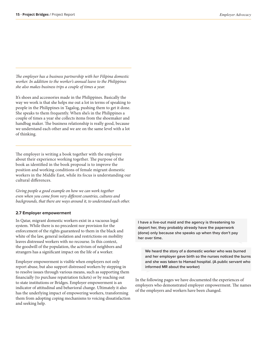*The employer has a business partnership with her Filipina domestic worker. In addition to the worker's annual leave to the Philippines she also makes business trips a couple of times a year.* 

It's shoes and accessories made in the Philippines. Basically the way we work is that she helps me out a lot in terms of speaking to people in the Philippines in Tagalog, pushing them to get it done. She speaks to them frequently. When she's in the Philippines a couple of times a year she collects items from the shoemaker and handbag maker. The business relationship is really good, because we understand each other and we are on the same level with a lot of thinking.

The employer is writing a book together with the employee about their experience working together. The purpose of the book as identified in the book proposal is to improve the position and working conditions of female migrant domestic workers in the Middle East, while its focus is understanding our cultural differences.

*Giving people a good example on how we can work together even when you come from very different countries, cultures and*  backgrounds, that there are ways around it, to understand each other.

### **2.7 Employer empowerment**

In Qatar, migrant domestic workers exist in a vacuous legal system. While there is no precedent nor provision for the enforcement of the rights guaranteed to them in the black and white of the law, general isolation and restrictions on mobility leaves distressed workers with no recourse. In this context, the goodwill of the population, the activism of neighbors and strangers has a significant impact on the life of a worker.

Employer empowerment is visible when employers not only report abuse, but also support distressed workers by stepping in to resolve issues through various means, such as supporting them financially (to purchase repatriation tickets) or by reaching out to state institutions or Bridges. Employer empowerment is an indicator of attitudinal and behavioral change. Ultimately it also has the underlying impact of empowering workers, transforming them from adopting coping mechanisms to voicing dissatisfaction and seeking help.

**I have a live-out maid and the agency is threatening to deport her, they probably already have the paperwork (done) only because she speaks up when they don't pay her over time.** 

**We heard the story of a domestic worker who was burned and her employer gave birth so the nurses noticed the burns and she was taken to Hamad hospital. (A public servant who informed MR about the worker)** 

In the following pages we have documented the experiences of employers who demonstrated employer empowerment. The names of the employers and workers have been changed.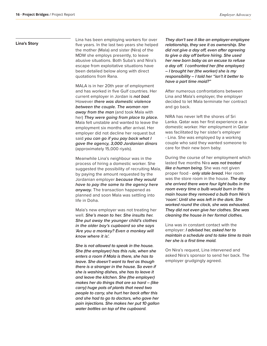### **Lina's Story**

Lina has been employing workers for over five years. In the last two years she helped the mother (Mala) and sister (Nira) of the MDW she employs presently, to leave abusive situations. Both Suba's and Nira's escape from exploitative situations have been detailed below along with direct quotations from Rana.

MALA is in her 20th year of employment and has worked in five Gulf countries. Her current employer in Jordan is *not bad*. However *there was domestic violence between the couple. The woman ran away from the man* (and took Mala with her) *They were going from place to place.*  Mala felt unstable and wanted to leave the employment six months after arrival. Her employer did not decline her request but said *you can go if you pay back what I gave the agency, 3,000 Jordanian dinars* (approximately 15,000 riyals).

Meanwhile Lina's neighbour was in the process of hiring a domestic worker. She suggested the possibility of recruiting Mala, by paying the amount requested by the Jordanian employer *because they would have to pay the same to the agency here anyway.* The transaction happened as planned and soon Mala was settling into life in Doha.

Mala's new employer was not treating her well. *She's mean to her. She insults her. She put away the younger child's clothes in the older boy's cupboard so she says 'Are you a monkey? Even a monkey will know where it is'.*

*She is not allowed to speak in the house. She (the employer) has this rule, when she enters a room if Mala is there, she has to leave. She doesn't want to feel as though there is a stranger in the house. So even if she is washing dishes, she has to leave it and leave the kitchen. She (the employer) makes her do things that are so hard – (like carry) huge pots of plants that need two people to carry, she hurt her back after this and she had to go to doctors, who gave her pain injections. She makes her put 10 gallon water bottles on top of the cupboard.*

*They don't see it like an employer-employee relationship, they see it as ownership. She did not give a day off, even after agreeing to give a day off before hiring. She used her new born baby as an excuse to refuse a day off. I confronted her (the employer) – I brought her (the worker) she is my responsibility – I told her "isn't it better to have a part time maid?"*

After numerous confrontations between Lina and Mala's employer, the employer decided to let Mala terminate her contract and go back.

NIRA has never left the shores of Sri Lanka. Qatar was her first experience as a domestic worker. Her employment in Qatar was facilitated by her sister's employer - Lina. She was employed by a working couple who said they wanted someone to care for their new born baby.

During the course of her employment which lasted five months Nira *was not treated like a human being.* She was not given proper food - *only stale bread.* Her room was the store room in the house. *The day she arrived there were four light bulbs in the room every time a bulb would burn in the main house they removed a bulb from Nira's 'room'. Until she was left in the dark. She worked round the clock, she was exhausted. They did not even give her clothes. She was cleaning the house in her formal clothes.* 

Lina was in constant contact with the employer: *I advised her, asked her to maintain a schedule and to take time to train her she is a first time maid.*

On Nira's request, Lina intervened and asked Nira's sponsor to send her back. The employer grudgingly agreed.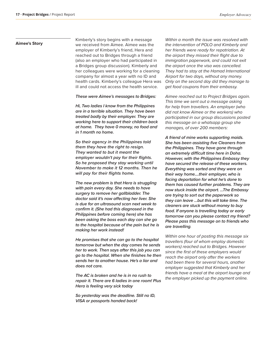### **Aimee's Story**

Kimberly's story begins with a message we received from Aimee. Aimee was the employer of Kimberly's friend, Hera and reached out to Bridges through a friend (also an employer who had participated in a Bridges group discussion). Kimberly and her colleagues were working for a cleaning company for almost a year with no ID and health cards. Kimberly's colleague Hera was ill and could not access the health service.

### *These were Aimee's messages to Bridges:*

*Hi, Two ladies I know from the Philippines are in a terrible situation. They have been treated badly by their employer. They are working here to support their children back at home. They have 0 money, no food and in 1 month no home.* 

*So their agency in the Philippines told them they have the right to resign. They wanted to but it meant the employer wouldn't pay for their flights. So he proposed they stay working until November to make it 12 months. Then he will pay for their flights home.*

*The new problem is that Hera is struggling with pain every day. She needs to have surgery to remove her gallbladder. The doctor said it's now affecting her liver. She is due for an ultrasound scan next week to confirm it. (She had this diagnosed in the Philippines before coming here) she has been asking the boss each day can she go to the hospital because of the pain but he is making her work instead!*

*He promises that she can go to the hospital tomorrow but when the day comes he sends her to work. Then says after this job you can go to the hospital. When she finishes he then sends her to another house. He's a liar and does not care.*

*The AC is broken and he is in no rush to repair it. There are 6 ladies in one room! Plus Hera is feeling very sick today*

*So yesterday was the deadline. Still no ID, VISA or passports handed back!*

*Within a month the issue was resolved with the intervention of POLO and Kimberly and her friends were ready for repatriation. At the airport they missed their flight due to immigration paperwork, and could not exit the airport once the visa was cancelled. They had to stay at the Hamad International Airport for two days, without any money. Only on the second day did they manage to get food coupons from their embassy.*

*Aimee reached out to Project Bridges again. This time we sent out a message asking for help from travellers. An employer (who did not know Aimee or the workers) who participated in our group discussions posted this message on a whatsapp group she manages, of over 200 members:* 

*A friend of mine works supporting maids. She has been assisting five Cleaners from the Philippines. They have gone through an extremely difficult time here in Doha. However, with the Philippines Embassy they have secured the release of these workers. Everything was sorted and they were on their way home....their employer, who is facing deportation for what he's done to them has caused further problems. They are now stuck inside the airport. ...The Embassy are trying to sort out the paperwork so they can leave ...but this will take time. The cleaners are stuck without money to buy food. If anyone is travelling today or early tomorrow can you please contact my friend? Please pass this message on to friends who are travelling.* 

*Within one hour of posting this message six travellers (four of whom employ domestic workers) reached out to Bridges. However since the first of these employers would reach the airport only after the workers had been there for several hours, another employer suggested that Kimberly and her friends have a meal at the airport lounge and the employer picked up the payment online.*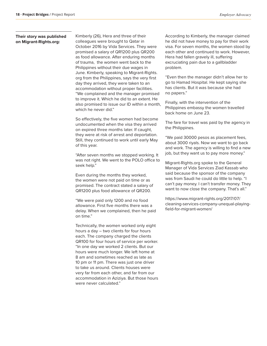### **Their story was published on Migrant-Rights.org:**

Kimberly (26), Hera and three of their colleagues were brought to Qatar in October 2016 by Vida Services. They were promised a salary of QR1200 plus QR200 as food allowance. After enduring months of trauma, the women went back to the Philippines without their due wages in June. Kimberly, speaking to Migrant-Rights. org from the Philippines, says the very first day they arrived, they were taken to an accommodation without proper facilities. "We complained and the manager promised to improve it. Which he did to an extent. He also promised to issue our ID within a month, which he never did."

So effectively, the five women had become undocumented when the visa they arrived on expired three months later. If caught, they were at risk of arrest and deportation. Still, they continued to work until early May of this year.

"After seven months we stopped working. It was not right. We went to the POLO office to seek help."

Even during the months they worked, the women were not paid on time or as promised. The contract stated a salary of QR1200 plus food allowance of QR200.

"We were paid only 1200 and no food allowance. First five months there was a delay. When we complained, then he paid on time."

Technically, the women worked only eight hours a day – two clients for four hours each. The company charged the clients QR100 for four hours of service per worker. "In one day we worked 2 clients. But our hours were much longer. We left home at 8 am and sometimes reached as late as 10 pm or 11 pm. There was just one driver to take us around. Clients houses were very far from each other, and far from our accommodation in Aziziya. But those hours were never calculated."

According to Kimberly, the manager claimed he did not have money to pay for their work visa. For seven months, the women stood by each other and continued to work. However, Hera had fallen gravely ill, suffering excruciating pain due to a gallbladder problem.

"Even then the manager didn't allow her to go to Hamad Hospital. He kept saying she has clients. But it was because she had no papers."

Finally, with the intervention of the Philippines embassy the women travelled back home on June 23.

The fare for travel was paid by the agency in the Philippines.

"We paid 30000 pesos as placement fees, about 3000 riyals. Now we want to go back and work. The agency is willing to find a new job, but they want us to pay more money."

Migrant-Rights.org spoke to the General Manager of Vida Services Ziad Kassab who said because the sponsor of the company was from Saudi he could do little to help. "I can't pay money. I can't transfer money. They want to now close the company. That's all."

https://www.migrant-rights.org/2017/07/ cleaning-services-company-unequal-playingfield-for-migrant-women/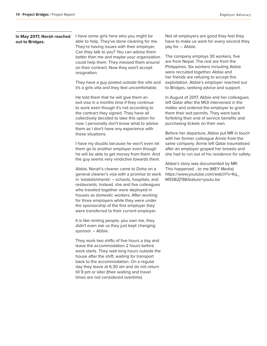### **In May 2017, Norah reached out to Bridges.**

I have some girls here who you might be able to help. They've done cleaning for me. They're having issues with their employer. Can they talk to you? You can advise them better than me and maybe your organization could help them. They messed them around on their contract. Now they won't accept resignation.

They have a guy posted outside the villa and it's a girls villa and they feel uncomfortable.

He told them that he will give them an exit visa in a months time if they continue to work even though it's not according to the contract they signed. They have all collectively decided to take this option for now. I personally don't know what to advise them as I don't have any experience with these situations.

I have my doubts because he won't even let them go to another employer even though he will be able to get money from them. And the guy seems very vindictive towards them.

Abbie, Norah's cleaner came to Doha on a general cleaner's visa with a promise to work in 'establishments' – schools, hospitals, and restaurants. Instead. she and five colleagues who traveled together were deployed in houses as domestic workers. After working for three employers while they were under the sponsorship of the first employer they were transferred to their current employer.

It is like renting people, you own me, they didn't even ask us they just kept changing sponsor. – Abbie.

They work two shifts of five hours a day and leave the accommodation 2 hours before work starts. They wait long hours outside the house after the shift, waiting for transport back to the accommodation. On a regular day they leave at 6.30 am and do not return till 9 pm or later (their waiting and travel times are not considered overtime).

Not all employers are good they feel they have to make us work for every second they pay for. – Abbie.

The company employs 30 workers, five are from Nepal. The rest are from the Philippines. Six workers including Abbie were recruited together. Abbie and her friends are refusing to accept this exploitation. Abbie's employer reached out to Bridges, seeking advice and support.

In August of 2017, Abbie and her colleagues left Qatar after the MOI intervened in the matter and ordered the employer to grant them their exit permits. They went back forfeiting their end of service benefits and purchasing tickets on their own.

Before her departure, Abbie put MR in touch with her former colleague Annie from the same company. Annie left Qatar traumatised after an employer groped her breasts and she had to run out of his residence for safety.

Abbie's story was documented by MR: This happened ...to me (MEY Media) https://www.youtube.com/watch?v=Kq\_ MS5B2jT8&feature=youtu.be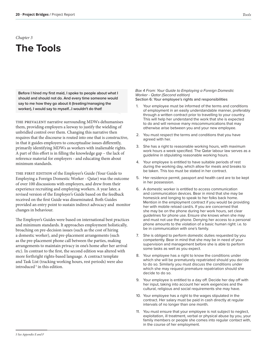## *Chapter 3* **The Tools**

**Before I hired my first maid, I spoke to people about what I should and should not do. And every time someone would say to me how they go about it (treating/managing the worker), I would say to myself...I wouldn't do that!**

THE PREVALENT narrative surrounding MDWs dehumanises them, providing employers a leeway to justify the wielding of unbridled control over them. Changing this narrative then requires that the discourse is routed into one that is constructive, in that it guides employers to conceptualise issues differently, primarily identifying MDWs as workers with inalienable rights. A part of this effort is in filling the knowledge gap – the lack of reference material for employers - and educating them about minimum standards.

THE FIRST EDITION of the Employer's Guide (Your Guide to Employing a Foreign Domestic Worker - Qatar) was the outcome of over 100 discussions with employers, and drew from their experience recruiting and employing workers. A year later, a revised version of the Employer's Guide based on the feedback received on the first Guide was disseminated. Both Guides provided an entry point to sustain indirect advocacy and monitor changes in behaviour.

The Employer's Guides were based on international best practices and minimum standards. It approaches employment holistically, broaching on pre-decision issues (such as the cost of hiring a domestic worker), and pre-placement arrangements (such as the pre-placement phone call between the parties, making arrangements to maintain privacy in one's home after her arrival etc). In contrast to the first, the second edition was altered with more forthright rights-based language. A contract template and Task List (tracking working hours, rest periods) were also introduced<sup>5</sup> in this edition.

*Box 4 From: Your Guide to Employing a Foreign Domestic Worker - Qatar (Second edition)* Section 6: Your employee's rights and responsibilities

- 1. Your employee must be informed of the terms and conditions of employment in an easily understandable manner, preferably through a written contract prior to travelling to your country. This will help her understand the work that she is expected to do and will remove many miscommunications that may otherwise arise between you and your new employee.
- 2. You must respect the terms and conditions that you have agreed with her.
- 3. She has a right to reasonable working hours, with maximum work hours a week specified. The Qatar labour law serves as a guideline in stipulating reasonable working hours.
- 4. Your employee is entitled to have suitable periods of rest during the working day, which allow for meals and breaks to be taken. This too must be stated in her contract.
- 5. Her residence permit, passport and health card are to be kept in her possession.
- 6. A domestic worker is entitled to access communication and communication devices. Bear in mind that she may be homesick and longing to speak to her folks back home. Mention in the employment contract if you would be providing her with mobile reload card/s. If you are concerned that she may be on the phone during her work hours, set clear guidelines for phone use. Ensure she knows when she may and must not use the phone. Denying her access to a personal phone amounts to the violation of a basic human right: i.e. to be in communication with one's family.
- 7. She is obliged to perform domestic duties requested by you competently. Bear in mind that she may be in need of your supervision and management before she is able to perform some tasks as well as you expect.
- 8. Your employee has a right to know the conditions under which she will be prematurely repatriated should you decide to do so. Similarly you must discuss the conditions under which she may request premature repatriation should she decide to do so.
- 9. Your employee is entitled to a day off. Decide her day off with her input, taking into account her work exigencies and the cultural, religious and social requirements she may have.
- 10. Your employee has a right to the wages stipulated in the contract. Her salary must be paid in cash directly at regular intervals of no longer than one month.
- 11. You must ensure that your employee is not subject to neglect, exploitation, ill treatment, verbal or physical abuse by you, your family members or people she comes into regular contact with, in the course of her employment.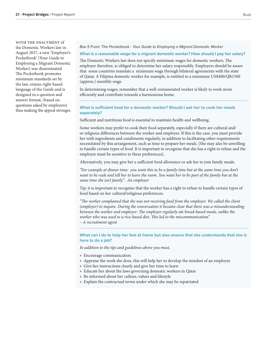WITH THE ENACTMENT of the Domestic Workers law in August 2017, a new 'Employer's Pocketbook' (Your Guide to Employing a Migrant Domestic Worker) was disseminated. The Pocketbook promotes minimum standards set by the law, retains right-based language of the Guide and is designed in a question and answer format, (based on questions asked by employers) thus making the appeal stronger.

### *Box 5 From: The Pocketbook - Your Guide to Employing a Migrant Domestic Worker*

### **What is a reasonable wage for a migrant domestic worker? How should I pay her salary?**

The Domestic Workers law does not specify minimum wages for domestic workers. The employer therefore, is obliged to determine her salary responsibly. Employers should be aware that some countries mandate a minimum wage through bilateral agreements with the state of Qatar. A Filipina domestic worker for example, is entitled to a minimum US\$400/QR1500 (approx.) monthly wage.

In determining wages, remember that a well-remunerated worker is likely to work more efficiently and contribute towards a harmonious home.

### **What is sufficient food for a domestic worker? Should I ask her to cook her meals separately?**

Sufficient and nutritious food is essential to maintain health and wellbeing.

Some workers may prefer to cook their food separately, especially if there are cultural and/ or religious differences between the worker and employer. If this is the case, you must provide her with ingredients and condiments regularly, in addition to facilitating other requirements necessitated by this arrangement, such as time to prepare her meals. [She may also be unwilling to handle certain types of food. It is important to recognise that she has a right to refuse and the employer must be sensitive to these preferences].

Alternatively, you may give her a sufficient food allowance or ask her to join family meals.

*"For example at dinner time: you want this to be a family time but at the same time you don't want to be rude and tell her to leave the room. You want her to be part of the family but at the same time she isn't family". An employer* 

Tip: it is important to recognise that the worker has a right to refuse to handle certain types of food based on her cultural/religious preferences.

*"The worker complained that she was not receiving food from the employer. We called the client (employer) to inquire. During the conversation it became clear that there was a misunderstanding between the worker and employer: The employer regularly ate bread-based meals, unlike the worker who was used to a rice-based diet. This led to the miscommunication" – A recruitment agent* 

### **What can I do to help her feel at home but also ensure that she understands that she is here to do a job?**

*In addition to the tips and guidelines above you must,* 

- » Encourage communication
- » Appraise the work she does, this will help her to develop the mindset of an employee
- » Give her instructions clearly and give her time to learn
- » Educate her about the laws governing domestic workers in Qatar
- » Be informed about her culture, values and lifestyle
- » Explain the contractual terms under which she may be repatriated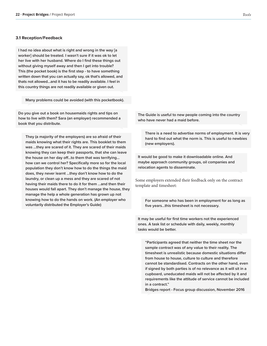### **3.1 Reception/Feedback**

**I had no idea about what is right and wrong in the way [a worker] should be treated. I wasn't sure if it was ok to let her live with her husband. Where do I find these things out without giving myself away and then I get into trouble? This (the pocket book) is the first step - to have something written down that you can actually say, ok that's allowed, and thats not allowed...and it has to be readily available. I feel in this country things are not readily available or given out.** 

**Many problems could be avoided (with this pocketbook).**

**Do you give out a book on housemaids rights and tips on how to live with them? Sara (an employer) recommended a book that you distribute.**

**They (a majority of the employers) are so afraid of their maids knowing what their rights are. This booklet to them was ...they are scared of it. They are scared of their maids knowing they can keep their passports, that she can leave the house on her day off...to them that was terrifying... how can we control her? Specifically more so for the local population they don't know how to do the things the maid does, they never learnt ...they don't know how to do the laundry, or clean up a mess and they are scared of not having their maids there to do it for them ...and then their houses would fall apart. They don't manage the house, they manage the help a whole generation has grown up not knowing how to do the hands on work. (An employer who voluntarily distributed the Employer's Guide)**

**The Guide is useful to new people coming into the country who have never had a maid before.**

**There is a need to advertise norms of employment. It is very hard to find out what the norm is. This is useful to newbies (new employers).** 

**It would be good to make it downloadable online. And maybe approach community groups, oil companies and relocation agents to disseminate.** 

Some employers extended their feedback only on the contract template and timesheet:

**For someone who has been in employment for as long as five years...this timesheet is not necessary.** 

**It may be useful for first time workers not the experienced ones. A task list or schedule with daily, weekly, monthly tasks would be better.**

**"Participants agreed that neither the time sheet nor the sample contract was of any value to their reality. The timesheet is unrealistic because domestic situations differ from house to house, culture to culture and therefore cannot be standardised. Contracts on the other hand, even if signed by both parties is of no relevance as it will sit in a cupboard, uneducated maids will not be affected by it and requirements like the attitude of service cannot be included in a contract."** 

**Bridges report - Focus group discussion, November 2016**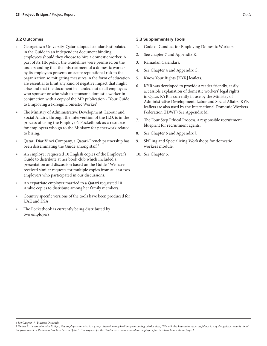### **3.2 Outcomes**

- » Georgetown University-Qatar adopted standards stipulated in the Guide in an independent document binding employees should they choose to hire a domestic worker. A part of it's HR policy, the Guidelines were premised on the understanding that the mistreatment of a domestic worker by its employees presents an acute reputational risk to the organization so mitigating measures in the form of education are essential to limit any kind of negative impact that might arise and that the document be handed out to all employees who sponsor or who wish to sponsor a domestic worker in conjunction with a copy of the MR publication - 'Your Guide to Employing a Foreign Domestic Worker'.
- » The Ministry of Administrative Development, Labour and Social Affairs, through the intervention of the ILO, is in the process of using the Employer's Pocketbook as a resource for employers who go to the Ministry for paperwork related to hiring.
- » Qatari Diar Vinci Company, a Qatari-French partnership has been disseminating the Guide among staff. $^6$
- » An employer requested 10 English copies of the Employer's Guide to distribute at her book club which included a presentation and discussion based on the Guide.<sup>7</sup> We have received similar requests for multiple copies from at least two employers who participated in our discussions.
- An expatriate employer married to a Qatari requested 10 Arabic copies to distribute among her family members.
- » Country specific versions of the tools have been produced for UAE and KSA
- » The Pocketbook is currently being distributed by two employers.

### **3.3 Supplementary Tools**

- 1. Code of Conduct for Employing Domestic Workers.
- 2. See chapter 7 and Appendix K.
- 3. Ramadan Calendars.
- 4. See Chapter 4 and Appendix G.
- 5. Know Your Rights [KYR] leaflets.
- 6. KYR was developed to provide a reader friendly, easily accessible explanation of domestic workers' legal rights in Qatar. KYR is currently in use by the Ministry of Administrative Development, Labor and Social Affairs. KYR leaflets are also used by the International Domestic Workers Federation (IDWF) See Appendix M.
- 7. The Four Step Ethical Process, a responsible recruitment blueprint for recruitment agents.
- 8. See Chapter 6 and Appendix J.
- 9. Skilling and Specializing Workshops for domestic workers module.
- 10. See Chapter 5.

*6 See Chapter 7 'Business Outreach'* 

*<sup>7</sup> On her first encounter with Bridges, this employer conceded to a group discussion only hesitantly cautioning interlocutors, "We will also have to be very careful not to any derogatory remarks about the government or the labour practices here in Qatar". The requests for the Guides were made around the employer's fourth interaction with the project.*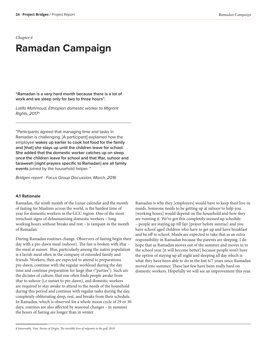*Chapter 4*

# **Ramadan Campaign**

**"Ramadan is a very hard month because there is a lot of work and we sleep only for two to three hours".**

*Latifa Mahmoud, Ethiopian domestic worker to Migrant Rights, 2017*<sup>8</sup>

"Participants agreed that managing time and tasks in Ramadan is challenging. [A participant] explained how the employee **wakes up earlier to cook hot food for the family and [that] she stays up until the children leave for school. She added that the domestic worker catches up on sleep once the children leave for school and that Iftar, suhoor and taraweeh [night prayers specific to Ramadan] are all family events** joined by the household helper. "

*Bridges report - Focus Group Discussion, March, 2016* 

### **4.1 Rationale**

Ramadan, the ninth month of the Lunar calendar and the month of fasting for Muslims across the world, is the hardest time of year for domestic workers in the GCC region. One of the most trenchant signs of dehumanising domestic workers – long working hours without breaks and rest – is rampant in the month of Ramadan.

During Ramadan routines change. Observers of fasting begin their day with a pre-dawn meal (suhoor). The fast is broken with iftar – the meal at sunset. Iftar, particularly among the native population is a lavish meal often in the company of extended family and friends. Workers, then are expected to attend to preparations pre-dawn, continue with the regular workload during the day time and continue preparation for large iftar ("parties"). Such are the dictates of culture, that one often finds people awake from iftar to suhoor (i.e sunset to pre-dawn), and domestic workers are required to stay awake to attend to the needs of the household during this period and continue with regular tasks during the day, completely obliterating sleep, rest, and breaks from their schedule. In Ramadan, which is observed for a whole moon cycle of 29 or 30 days, routines are also affected by seasonal changes – in summer the hours of fasting are longer than in winter.

Ramadan is why they [employers] would have to keep their live-in maids. Someone needs to be getting up at suhoor to help you. [working hours] would depend on the household and how they are running it. We've got this completely messed up schedule – people are staying up till fajr [prayer before sunrise] and you have school aged children who have to get up and have breakfast and be off to school. Maids are expected to take that as an extra responsibility in Ramadan because the parents are sleeping. I do hope that as Ramadan moves out of the summer and moves in to the school year [it will become better] because people won't have the option of staying up all night and sleeping all day which is what they have been able to do in the last 6/7 years since Ramadan moved into summer. These last few have been really hard on domestic workers. Hopefully we will see an improvement this year.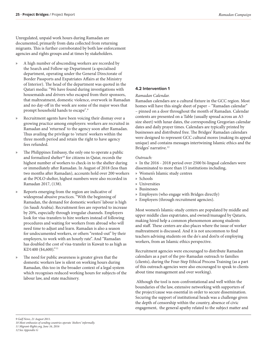Unregulated, unpaid work hours during Ramadan are documented, primarily from data collected from returning migrants. This is further corroborated by both law enforcement agencies and rights groups and at times by stakeholders.

- » A high number of absconding workers are recorded by the Search and Follow-up Department (a specialised department, operating under the General Directorate of Border Passports and Expatriates Affairs at the Ministry of Interior). The head of the department was quoted in the Qatari media: "We have found during investigations with housemaids and drivers who escaped from their sponsors, that maltreatment, domestic violence, overwork in Ramadan and no day-off in the week are some of the major woes that prompt household hands to escape".<sup>9</sup>
- » Recruitment agents have been voicing their dismay over a growing practice among employers: workers are recruited in Ramadan and 'returned' to the agency soon after Ramadan. Thus availing the privilege to 'return' workers within the three month period and retain the right to have agency fees refunded.
- » The Philippines Embassy, the only one to operate a public and formalized shelter<sup>10</sup> for citizens in Qatar, records the highest number of workers to check-in to the shelter during or immediately after Ramadan. In August of 2018 (less than two months after Ramadan), accounts hold over 200 workers at the POLO shelter, highest numbers were also recorded in Ramadan 2017, (138).
- » Reports emerging from the region are indicative of widespread abusive practices. "With the beginning of Ramadan, the demand for domestic workers' labour is high (in Saudi Arabia). Recruitment fees are reported to increase by 20%, especially through irregular channels. Employers look for visa-transfers to hire workers instead of following procedures and waiting for workers from abroad who will need time to adjust and learn. Ramadan is also a season for undocumented workers, or others "rented-out" by their employers, to work with an hourly rate". And "Ramadan has doubled the cost of visa-transfer in Kuwait to as high as KD1400 (\$4,600)."<sup>11</sup>
- The need for public awareness is greater given that the domestic workers law is silent on working hours during Ramadan, this too in the broader context of a legal system which recognises reduced working hours for subjects of the labour law, and state machinery.

### **4.2 Intervention 1**

### *Ramadan Calendar.*

Ramadan calendars are a cultural fixture in the GCC region. Most homes will have this single sheet of paper - "Ramadan calendar" – pinned on a door throughout the month of Ramadan. Calendar contents are presented on a Table (usually spread across an A5 size sheet) with lunar dates, the corresponding Gregorian calendar dates and daily prayer times. Calendars are typically printed by businesses and distributed free. The Bridges' Ramadan calendars were designed to represent GCC cultural mores (making its appeal unique) and contains messages intertwining Islamic ethics and the Bridges' narrative.<sup>12</sup>

### *Outreach:*

» In the 2016 - 2018 period over 2500 bi-lingual calendars were disseminated to more than 15 institutions including,

- » Women's Islamic study centres
- » Schools
- » Universities
- » Businesses
- » Employers (who engage with Bridges directly)
- » Employers (through recruitment agencies).

Most women's Islamic-study centers are populated by middle and upper middle class expatriates, and owned/managed by Qataris, making hired help a common phenomenon among students and staff. These centers are also places where the issue of worker maltreatment is discussed. And it is not uncommon to find teachers advising students on the do's and don'ts of employing workers, from an Islamic ethics perspective.

Recruitment agencies were encouraged to distribute Ramadan calendars as a part of the pre-Ramadan outreach to families (clients), during the Four-Step Ethical Process Training (as a part of this outreach agencies were also encouraged to speak to clients about time management and over working).

 Although the tool is non-confrontational and well within the boundaries of the law, extensive networking with supporters of the project/cause was essential in order to secure dissemination. Securing the support of institutional heads was a challenge given the depth of censorship within the country, absence of civic engagement, the general apathy related to the subject matter and

*10 Most embassies of sending countries operate 'shelters' informally.*

*<sup>9</sup> Gulf News, 21 August 2011.*

*<sup>11</sup> Migrant-Rights.org, June 16, 2016 12 See Appendix G*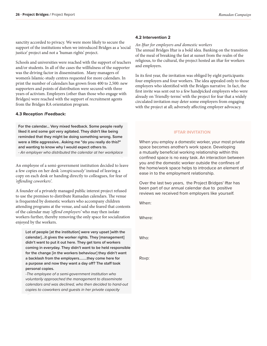sanctity accorded to privacy. We were more likely to secure the support of the institutions when we introduced Bridges as a 'social justice' project and not a 'human rights' project.

Schools and universities were reached with the support of teachers and/or students. In all of the cases the willfulness of the supporter was the driving factor in dissemination. Many managers of women's Islamic-study centres requested for more calendars. In print the number of calendars has grown from 400 to 2,500: new supporters and points of distribution were secured with three years of activism. Employers (other than those who engage with Bridges) were reached with the support of recruitment agents from the Bridges RA orientation program.

### **4.3 Reception /Feedback:**

**For the calendar... Very mixed feedback. Some people really liked it and some got very agitated. They didn't like being reminded that they might be doing something wrong. Some were a little aggressive.. Asking me "do you really do this?" and wanting to know why I would expect others to.** *- An employer who distributed the calendar at her workplace* 

An employee of a semi-government institution decided to leave a few copies on her desk *'conspicuously'* instead of leaving a copy on each desk or handing directly to colleagues, for fear of *'offending coworkers'.* 

A founder of a privately managed public interest project refused to use the premises to distribute Ramadan calendars. The venue is frequented by domestic workers who accompany children attending programs at the venue, and said she feared that contents of the calendar may *'offend employers'* who may then isolate workers further, thereby removing the only space for socialization enjoyed by the workers.

**Lot of people [at the institution] were very upset [with the calendar]...it gives the worker rights. They [management] didn't want to put it out here. They get tons of workers coming in everyday. They didn't want to be held responsible for the change [in the workers behaviour] they didn't want a backlash from the employers……..they come here for a purpose and now they want a day off? The staff took personal copies.** 

*-The employee of a semi-government institution who voluntarily approached the management to disseminate calendars and was declined, who then decided to hand-out copies to coworkers and guests in her private capacity*

### **4.2 Intervention 2**

### *An Iftar for employers and domestic workers*

The annual Bridges Iftar is a bold idea. Banking on the transition of the meal of breaking the fast at sunset from the realm of the religious, to the cultural, the project hosted an iftar for workers and employers.

In its first year, the invitation was obliged by eight participants: four employers and four workers. The idea appealed only to those employers who identified with the Bridges narrative. In fact, the first invite was sent out to a few handpicked employers who were already on 'friendly-terms' with the project for fear that a widely circulated invitation may deter some employers from engaging with the project at all; adversely affecting employer advocacy.

### **IFTAR INVITATION**

When you employ a domestic worker, your most private space becomes another's work space. Developing a mutually beneficial working relationship within this confined space is no easy task. An interaction between you and the domestic worker outside the confines of the home/work space helps to introduce an element of ease in to the employment relationship.

Over the last two years, the Project Bridges' Iftar has been part of our annual calendar due to positive reviews we received from employers like yourself.

When:

Where:

Who:

Rsvp: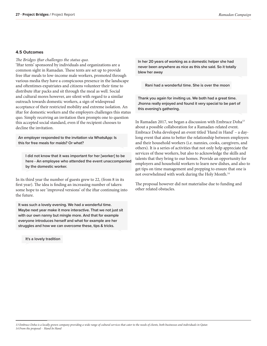### **4.5 Outcomes**

### *The Bridges iftar challenges the status quo.*

'Iftar tents' sponsored by individuals and organizations are a common sight in Ramadan. These tents are set up to provide free iftar meals to low-income male workers, promoted through various media they have a conspicuous presence in the landscape and oftentimes expatriates and citizens volunteer their time to distribute iftar packs and sit through the meal as well. Social and cultural mores however, are silent with regard to a similar outreach towards domestic workers, a sign of widespread acceptance of their restricted mobility and extreme isolation. An iftar for domestic workers and the employers challenges this status quo. Simply receiving an invitation then prompts one to question this accepted social standard, even if the recipient chooses to decline the invitation.

**An employer responded to the invitation via WhatsApp: Is this for free meals for maids? Or what?**

**I did not know that it was important for her [worker] to be here - An employee who attended the event unaccompanied by the domestic worker.** 

In its third year the number of guests grew to 22, (from 8 in its first year). The idea is finding an increasing number of takers: some hope to see 'improved versions' of the iftar continuing into the future.

**It was such a lovely evening. We had a wonderful time. Maybe next year make it more interactive. That we not just sit with our own nanny but mingle more. And that for example everyone introduces herself and what for example are her struggles and how we can overcome these, tips & tricks.** 

**It's a lovely tradition**

**In her 20 years of working as a domestic helper she had never been anywhere as nice as this she said. So it totally blew her away**

**Rani had a wonderful time. She is over the moon** 

**Thank you again for inviting us. We both had a great time. Jhonna really enjoyed and found it very special to be part of this evening's gathering.**

In Ramadan 2017, we began a discussion with Embrace  $\rm Doha^{13}$ about a possible collaboration for a Ramadan-related event. Embrace Doha developed an event titled 'Hand in Hand' – a daylong event that aims to better the relationship between employers and their household workers (i.e. nannies, cooks, caregivers, and others). It is a series of activities that not only help appreciate the services of these workers, but also to acknowledge the skills and talents that they bring to our homes. Provide an opportunity for employers and household workers to learn new dishes, and also to get tips on time management and prepping to ensure that one is not overwhelmed with work during the Holy Month.<sup>14</sup>

The proposal however did not materialise due to funding and other related obstacles.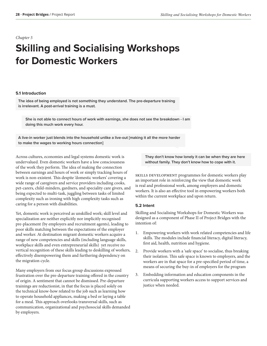### *Chapter 5*

# **Skilling and Socialising Workshops for Domestic Workers**

### **5.1 Introduction**

**The idea of being employed is not something they understand. The pre-departure training is irrelevant. A post-arrival training is a must.**

**She is not able to connect hours of work with earnings, she does not see the breakdown - I am doing this much work every hour.**

**A live-in worker just blends into the household unlike a live-out [making it all the more harder to make the wages to working hours connection]**

Across cultures, economies and legal systems domestic work is undervalued. Even domestic workers have a low consciousness of the work they perform. The idea of making the connection between earnings and hours of work or simply tracking hours of work is non-existent. This despite 'domestic workers' covering a wide range of caregivers and service providers including cooks, pet-carers, child-minders, gardners, and speciality care givers, and being expected to multi-task, juggling between tasks of limited complexity such as ironing with high complexity tasks such as caring for a person with disabilities.

Yet, domestic work is perceived as unskilled work; skill level and specialization are neither explicitly nor implicitly recognised pre-placement (by employers and recruitment agents), leading to poor skills matching between the expectations of the employer and worker. At destination migrant domestic workers acquire a range of new competencies and skills (including language skills, workplace skills and even entrepreneurial skills) yet receive no vertical recognition of these skills leading to deskilling of workers, effectively disempowering them and furthering dependency on the migration cycle.

Many employers from our focus group discussions expressed frustration over the pre-departure training offered in the country of origin. A sentiment that cannot be dismissed. Pre-departure trainings are reductionist, in that the focus is placed solely on the technical know-how related to the job such as learning how to operate household appliances, making a bed or laying a table for a meal. This approach overlooks transversal skills, such as communication, organizational and psychosocial skills demanded by employers.

**They don't know how lonely it can be when they are here without family. They don't know how to cope with it.** 

skills development programmes for domestic workers play an important role in reinforcing the view that domestic work is real and professional work, among employers and domestic workers. It is also an effective tool in empowering workers both within the current workplace and upon return.

### **5.2 Intent**

Skilling and Socialising Workshops for Domestic Workers was designed as a component of Phase II of Project Bridges with the intention of:

- 1. Empowering workers with work related competencies and life skills. The modules include financial literacy, digital literacy, first aid, health, nutrition and hygiene.
- 2. Provide workers with a 'safe space' to socialise, thus breaking their isolation. This safe space is known to employers, and the workers are in that space for a pre-specified period of time, a means of securing the buy-in of employers for the program
- 3. Embedding information and education components in the curricula supporting workers access to support services and justice when needed.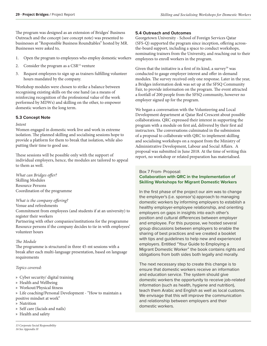The program was designed as an extension of Bridges' Business Outreach and the concept (see concept note) was presented to businesses at "Responsible Business Roundtables" hosted by MR. Businesses were asked to,

- 1. Open the program to employees who employ domestic workers
- 2. Consider the program as a  $CSR<sup>15</sup>$  venture
- 3. Request employees to sign up as trainers fulfilling volunteer hours mandated by the company.

Workshop modules were chosen to strike a balance between recognising existing skills on the one hand (as a means of reinforcing recognition of the professional value of the work performed by MDWs) and skilling on the other, to empower domestic workers in the long term.

### **5.3 Concept Note**

### *Intent*

Women engaged in domestic work live and work in extreme isolation. The planned skilling and socialising sessions hope to provide a platform for them to break that isolation, while also putting their time to good use.

These sessions will be possible only with the support of individual employers, hence, the modules are tailored to appeal to them as well.

*What can Bridges offer?*  Skilling Modules Resource Persons Coordination of the programme

### *What is the company offering?*

Venue and refreshments

Commitment from employees (and students if at an university) to register their workers

Partnering with other companies/institutions for the programme Resource persons if the company decides to tie in with employees' volunteer hours

### *The Module*

The programme is structured in three 45-mt sessions with a break after each multi-language presentation, based on language requirements

### *Topics covered:*

- » Cyber security/ digital training
- » Health and Wellbeing
- » Workout/Physical fitness
- » Life coaching/Personal Development "How to maintain a positive mindset at work"
- » Nutrition
- » Self care (facials and nails)
- » Health and safety

### **5.4 Outreach and Outcomes**

Georgetown University - School of Foreign Services Qatar (SFS-Q) supported the program since inception, offering acrossthe-board support, including a space to conduct workshops, nominating trainers from the University, and reaching out to their employees to enroll workers in the program.

Given that the initiative is a first of its kind, a survey<sup>16</sup> was conducted to gauge employer interest and offer in-demand modules. The survey received only one response. Later in the year, a Bridges information desk was set up at the SFSQ Community Fair, to provide information on the program. The event attracted a footfall of 200 people from the SFSQ community, however no employer signed up for the program.

We began a conversation with the Volunteering and Local Development department at Qatar Red Crescent about possible collaborations. QRC expressed their interest in supporting the program with a module on first aid, delivered by their first aid instructors. The conversations culminated in the submission of a proposal to collaborate with QRC to implement skilling and socialising workshops on a request from the Ministry of Administrative Development, Labour and Social Affairs. A proposal was submitted in June 2018. At the time of writing this report, no workshop or related preparation has materialised.

### Box 7 From- Proposal:

### **Collaboration with QRC in the Implementation of Skilling Workshops for Migrant Domestic Workers**

In the first phase of the project our aim was to change the employer's (i.e. sponsor's) approach to managing domestic workers by informing employers to establish a healthy employer-employee relationship, and orienting employers on gaps in insights into each other's position and cultural differences between employer and employee. For this purpose, we hosted several group discussions between employers to enable the sharing of best practices and we created a booklet with tips and guidelines to help new and experienced employers. Entitled "Your Guide to Employing a Migrant Domestic Worker" the book contains rights and obligations from both sides both legally and morally.

The next necessary step to create this change is to ensure that domestic workers receive an information and education service. The system should give domestic workers the opportunity to receive job-related information (such as health, hygiene and nutrition), teach them Arabic and English as well as local customs. We envisage that this will improve the communication and relationship between employers and their domestic workers.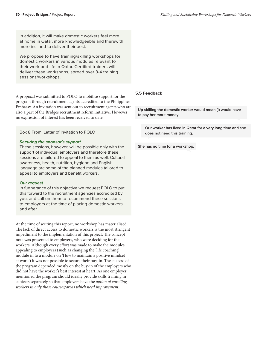In addition, it will make domestic workers feel more at home in Qatar, more knowledgeable and therewith more inclined to deliver their best.

We propose to have training/skilling workshops for domestic workers in various modules relevant to their work and life in Qatar. Certified trainers will deliver these workshops, spread over 3-4 training sessions/workshops.

A proposal was submitted to POLO to mobilise support for the program through recruitment agents accredited to the Philippines Embassy. An invitation was sent out to recruitment agents who are also a part of the Bridges recruitment reform initiative. However no expression of interest has been received to date.

Box 8 From, Letter of Invitation to POLO

### *Securing the sponsor's support*

These sessions, however, will be possible only with the support of individual employers and therefore these sessions are tailored to appeal to them as well. Cultural awareness, health, nutrition, hygiene and English language are some of the planned modules tailored to appeal to employers and benefit workers.

### *Our request*

In furtherance of this objective we request POLO to put this forward to the recruitment agencies accredited by you, and call on them to recommend these sessions to employers at the time of placing domestic workers and after.

At the time of writing this report, no workshop has materialised. The lack of direct access to domestic workers is the most stringent impediment to the implementation of this project. The concept note was presented to employers, who were deciding for the workers. Although every effort was made to make the modules appealing to employers (such as changing the 'life coaching' module in to a module on 'How to maintain a positive mindset at work') it was not possible to secure their buy-in. The success of the program depended mostly on the buy-in of the employers who did not have the worker's best interest at heart. As one employer mentioned the program should ideally provide skills training in subjects separately so that employers have the *option of enrolling workers in only those courses/areas which need improvement.*

### **5.5 Feedback**

**Up-skilling the domestic worker would mean (I) would have to pay her more money**

**Our worker has lived in Qatar for a very long time and she does not need this training.** 

**She has no time for a workshop.**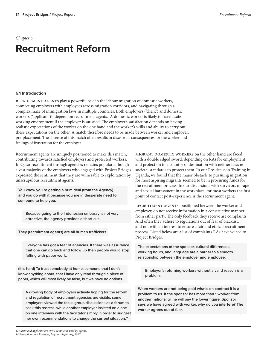*Chapter 6*

# **Recruitment Reform**

### **6.1 Introduction**

recruitment agents play a powerful role in the labour migration of domestic workers, connecting employers with employees across migration corridors, and navigating through a complex maze of immigration laws in multiple countries. Both employers ('client') and domestic workers ('applicant')<sup>17</sup> depend on recruitment agents. A domestic worker is likely to have a safe working environment if the employer is satisfied. The employer's satisfaction depends on having realistic expectations of the worker on the one hand and the worker's skills and ability to carry out these expectations on the other. A match therefore needs to be made between worker and employer, pre-placement. The absence of this match often results in disastrous consequences for the worker and feelings of frustration for the employer.

Recruitment agents are uniquely positioned to make this match, contributing towards satisfied employers and protected workers. In Qatar recruitment through agencies remains popular although a vast majority of the employers who engaged with Project Bridges expressed the sentiment that they are vulnerable to exploitation by unscrupulous recruitment agents.

**You know you're getting a bum deal (from the Agency) and you go with it because you are in desperate need for someone to help you.** 

**Because going to the Indonesian embassy is not very attractive, the agency provides a short cut.** 

**They (recruitment agents) are all human traffickers**

**Everyone has got a fear of agencies. If there was assurance that one can go back and follow up then people would stop faffing with paper work.** 

**(It is hard) To trust somebody at home, someone that I don't know anything about, that I have only read through a piece of paper, which will most likely be false, but we have no options.** 

**A growing body of employers actively hoping for the reform and regulation of recruitment agencies are visible: some employers viewed the focus group discussions as a forum to seek this redress, while another employer insisted on a one on one interview with the facilitator simply in order to suggest her own recommendations to change the current situation.***<sup>18</sup>*

MIGRANT DOMESTIC WORKERS on the other hand are faced with a double edged sword: depending on RAs for employment and protection in a country of destination with neither laws nor societal standards to protect them. In our Pre-decision Training in Uganda, we found that the major obstacle to pursuing migration for most aspiring migrants seemed to be in procuring funds for the recruitment process. In our discussions with survivors of rape and sexual harassment in the workplace, for most workers the first point of contact post-experience is the recruitment agent.

RECRUITMENT AGENTS, positioned between the worker and employer, do not receive information in a constructive manner from either party. The only feedback they receive are complaints. And often they adhere to regulations out of fear of blacklist, and not with an interest to ensure a fair and ethical recruitment process. Listed below are a list of complaints RAs have voiced to Project Bridges.

**The expectations of the sponsor, cultural differences, working hours, and language are a barrier to a smooth relationship between the employer and employee.** 

**Employer's returning workers without a valid reason is a problem.**

**When workers are not being paid what's on contract it is a problem to us. If the sponsor has more than 1 worker, from another nationality, he will pay the lower figure. Sponsor says we have agreed with worker, why do you interfere? The worker agrees out of fear.**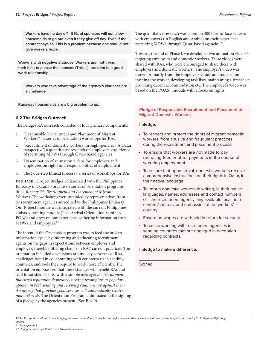**Workers have no day off - 95% of sponsors will not allow housemaids to go out even if they give off day. Even if the contract says so. This is a problem because one should not give workers hope.** 

**Workers with negative attitudes. Workers are not trying their best to please the sponsor. (This is) problem to a good work relationship.** 

**Workers who take advantage of the agency's kindness are a challenge.** 

**Runaway housemaids are a big problem to us.** 

### **6.2 The Bridges Outreach**

The Bridges RA outreach consisted of four primary components:

- 1. "Responsible Recruitment and Placement of Migrant Workers" - a series of orientation workshops for RAs
- 2. "Recruitment of domestic workers through agencies A Qatar perspective", a quantitative research on employers' experience of recruiting MDWs through Qatar-based agencies
- 3. Dissemination of animation videos for employers and employees on rights and responsibilities of employment
- 4. The Four-step Ethical Process a series of workshops for RAs

in phase 1 Project Bridges collaborated with the Philippines Embassy in Qatar, to organise a series of orientation programs titled *Responsible Recruitment and Placement of Migrant Workers.* The workshops were attended by representatives from 87 recruitment agencies accredited to the Philippines Embassy. Our Project module was integrated with the current Philippines embassy training module (Post Arrival Orientation Seminar/ POAS) and drew on our experience gathering information from MDWs and employers.<sup>19</sup>

The intent of the Orientation program was to feed the broken information cycle, by informing and educating recruitment agents on the gaps in expectations between employer and employee, thereby initiating change in RAs' current practices. The orientation included discussions around key concerns of RAs, challenges faced in collaborating with counterparts in sending countries, and tools they require to work more efficiently. The orientation emphasised that these changes will benefit RAs and lead to satisfied clients, with a simple message: *the recruitment industry's reputation desperately needs a revamping, as popular opinion in both sending and receiving countries are against them. An agency that provides good services will automatically receive more referrals.* The Orientation Program culminated in the signing of a pledge by the agencies present. (See Box 9)

The quantitative research was based on 400 face-to-face surveys with employers (in English and Arabic) on their experience recruiting MDWs through Qatar-based agencies.<sup>20</sup>

Towards the end of Phase I, we developed two animation videos $^{21}$ targeting employers and domestic workers. These videos were shared with RAs, who were encouraged to share these with employers and domestic workers.. The employer's video was drawn primarily from the Employers Guide and touched on training the worker, developing task lists, maintaining a timesheet, providing decent accommodation etc. The employee's video was based on the POAS<sup>22</sup> module with a focus on rights.

### **Pledge of Responsible Recruitment and Placement of Migrant Domestic Workers**

### **I pledge,**

- To respect and protect the rights of migrant domestic workers, from abusive and fraudulent practices during the recruitment and placement process.
- To ensure that workers are not made to pay recruiting fees or other payments in the course of securing employment.
- To ensure that upon arrival, domestic workers receive comprehensive instructions on their rights in Qatar, in their native language.
- To inform domestic workers in writing, in their native languages, names, addresses and contact numbers of - the recruitment agency, any available local help centers/shelters, and embassies of the workers' country.
- Ensure no wages are withheld in return for security.
- To cease working with recruitment agencies in sending countries that are engaged in deception regarding contracts.

### **I pledge to make a difference.**

 $\overline{\phantom{a}}$  , where  $\overline{\phantom{a}}$ 

Signed

*<sup>19</sup> See Perceptions and Practices: Changing the narrative on domestic workers through employer advocacy and recruitment reform in Qatar, for report. (2017, Migrant-Rights.org) 20 Ibid*

*<sup>22</sup> Philippines embassy's Post Arrival Orientation Seminar*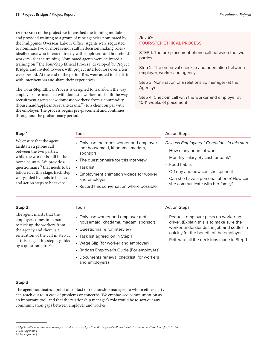in phase ii of the project we intensified the training module and provided training to a group of nine agencies nominated by the Philippines Overseas Labour Office. Agents were requested to nominate two or more senior staff in decision making roles ideally those who interact directly with employers and household workers - for the training. Nominated agents were delivered a training on "The Four-Step Ethical Process" developed by Project Bridges and invited to work with project interlocutors over a ten week period. At the end of the period RAs were asked to check-in with interlocutors and share their experiences.

The Four-Step Ethical Process is designed to transform the way employers are matched with domestic workers and shift the way recruitment agents view domestic workers: from a commodity (housemaid/applicant/servant/drama<sup>23</sup>) to a client on par with the employer. The process begins pre-placement and continues throughout the probationary period.

### *Box 10:* **FOUR-STEP ETHICAL PROCESS**

STEP 1: The pre-placement phone call between the two parties

Step 2: The on-arrival check in and orientation between employer, worker and agency

Step 3: Nomination of a relationship manager (at the Agency)

Step 4: Check-in call with the worker and employer at 10-11 weeks of placement

### **Step 1**

We ensure that the agent facilitates a phone call between the two parties, while the worker is still in the home country. We provide a questionnaire*<sup>24</sup>* that needs to be followed at this stage. Each step was guided by tools to be used and action steps to be taken:

| • Only use the terms worker and employer |
|------------------------------------------|
| (not housemaid, khadama, madam,          |
| sponsor)                                 |

- The questionnaire for this interview
- Task list

Tools

- Employment animation videos for worker and employer
- Record this conversation where possible.

• Documents renewal checklist (for workers

### Action Steps

| Discuss Employment Conditions in this step: |  |  |  |  |
|---------------------------------------------|--|--|--|--|
|---------------------------------------------|--|--|--|--|

- How many hours of work
- Monthly salary. By cash or bank?
- Food habits
- Off day and how can she spend it
- Can she have a personal phone? How can she communicate with her family?

### Tools • Only use worker and employer (not housemaid, khadama, madam, sponsor) • Questionnaire for interview • Task list agreed on in Step 1 • Wage Slip (for worker and employer) • Bridges Employer's Guide (For employers) Action Steps • Request employer picks up worker not driver. (Explain this is to make sure the worker understands the job and settles in quickly for the benefit of the employer.) • Reiterate all the decisions made in Step 1

### **Step 2:**

The agent insists that the employer comes in person to pick up the workers from the agency and there is a reiteration of the call in step 1, at this stage. This step is guided by a questionnaire.*<sup>25</sup>*

### **Step 3**

The agent nominates a point of contact or relationship manager, to whom either party can reach out to in case of problems or concerns. We emphasised communication as an important tool, and that the relationship manager's role would be to sort out any communication gaps between employer and worker.

and employers)

*25 See Appendix J*

*<sup>23</sup> Applicant/servant/drama/runaway were all terms used by RA's in the Responsible Recruitment Orientation in Phase I to refer to MDWs 24 See Appendix J*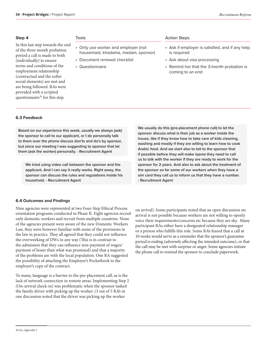### **Step 4**

In this last step towards the end of the three month probation period a call is made to both (individually) to ensure terms and conditions of the employment relationship (contractual and the softer social elements) are met and are being followed. RAs were provided with a scripted questionnaire<sup>26</sup> for this step.

### Tools

- Only use worker and employer (not housemaid, khadama, madam, sponsor)
- Document renewal checklist
- Questionnaire

### Action Steps

- Ask if employer is satisfied, and if any help is required
- Ask about visa processing
- Remind her that the 3-month probation is coming to an end

### **6.3 Feedback**

**Based on our experience this week, usually we always (ask) the sponsor to call to our applicant, or I do personally talk to them over the phone discuss don'ts and do's by sponsor, but since our meeting I was suggesting to sponsor that let them (ask the worker) personally. - Recruitment Agent** 

**We tried using video call between the sponsor and the applicant. And I can say it really works. Right away, the sponsor can discuss the rules and regulations inside his household. - Recruitment Agent** 

**We usually do this (pre-placement phone call) to let the sponsor discuss what is their job as a worker inside the house, like if they know how to take care of kids cleaning, washing and mostly if they are willing to learn how to cook Arabic food. And we start also to tell to the sponsor that if possible before they will make iqama they need to call us to talk with the worker if they are ready to work for the sponsor for 2 years. And also to ask about the treatment of the sponsor so far some of our workers when they have a sim card they call us to inform us that they have a number. - Recruitment Agent**

### **6.4 Outcomes and Findings**

Nine agencies were represented at two Four-Step Ethical Process orientation programs conducted in Phase II. Eight agencies recruit only domestic workers and recruit from multiple countries. None of the agencies present were aware of the new Domestic Workers Law, they were however familiar with some of the provisions in the law in practice. They all agreed that they could not influence the overworking of DWs in any way (This is in contrast to the admission that they can influence non-payment of wages/ payment of lesser than what was promised) and that a majority of the problems are with the local population. One RA suggested the possibility of attaching the Employer's Pocketbook to the employer's copy of the contract.

To many, language is a barrier to the pre-placement call, as is the lack of network connection in remote areas. Implementing Step 2 (On-arrival check-in) was problematic when the sponsor tasked the family driver with picking up the worker. (3 out of 5 RA's in one discussion noted that the driver was picking up the worker

on arrival). Some participants noted that an open discussion on arrival is not possible because workers are not willing to openly voice their requirements/concerns etc because they are shy. Many participant RAs either have a designated relationship manager or a person who fulfills this role. Some RA's feared that a call at 10 weeks would serve as a reminder that the sponsor's guarantee period is ending (adversely affecting the intended outcome), or that the call may be met with surprise or anger. Some agencies initiate the phone call to remind the sponsor to conclude paperwork.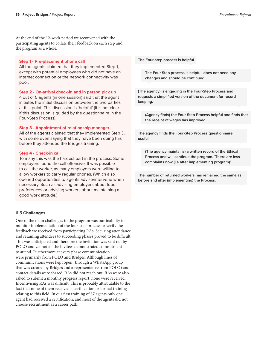At the end of the 12-week period we reconvened with the participating agents to collate their feedback on each step and the program as a whole.

### **Step 1 - Pre-placement phone call**

All the agents claimed that they implemented Step 1, except with potential employees who did not have an internet connection or the network connectivity was poor.

### **Step 2 - On-arrival check-in and in person pick up**

4 out of 5 agents (in one session) said that the agent initiates the initial discussion between the two parties at this point. This discussion is 'helpful' (it is not clear if this discussion is guided by the questionnaire in the Four-Step Process).

### **Step 3 - Appointment of relationship manager**

All of the agents claimed that they implemented Step 3, with some even saying that they have been doing this before they attended the Bridges training.

### **Step 4 - Check-in call**

To many this was the hardest part in the process. Some employers found the call offensive. It was possible to call the worker, as many employers were willing to allow workers to carry regular phones. (Which also opened opportunities to agents advise/intervene when necessary. Such as advising employers about food preferences or advising workers about maintaining a good work attitude.)

### **6.5 Challenges**

One of the main challenges to the program was our inability to monitor implementation of the four-step process or verify the feedback we received from participating RAs. Securing attendance and retaining attendees to succeeding phases proved to be difficult. This was anticipated and therefore the invitation was sent out by POLO and yet not all the invitees demonstrated commitment to attend. Furthermore at every phase communication were primarily from POLO and Bridges. Although lines of communications were kept open (through a WhatsApp group that was created by Bridges and a representative from POLO) and contact details were shared, RAs did not reach out. RAs were also asked to submit a monthly progress report, none were received. Incentivising RAs was difficult. This is probably attributable to the fact that none of them received a certification or formal training relating to this field. In our first training of 87 agents only one agent had received a certification, and most of the agents did not choose recruitment as a career path.

**The Four-step process is helpful.** 

**The Four Step process is helpful, does not need any changes and should be continued.**

**(The agency) is engaging in the Four-Step Process and requests a simplified version of the document for record keeping.**

**(Agency finds) the Four-Step Process helpful and finds that the receipt of wages has improved.**

**The agency finds the Four-Step Process questionnaire useful.**

**(The agency maintains) a written record of the Ethical Process and will continue the program. 'There are less complaints now (i.e after implementing program)'**

**The number of returned workers has remained the same as before and after (implementing) the Process.**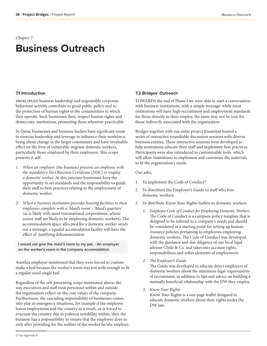# **Business Outreach**

### **7.1 Introduction**

principled business leadership and responsible corporate behaviour actively contribute to good public policy and to the protection of human rights in the communities in which they operate. Such businesses then, respect human rights and democratic institutions, promoting them wherever practicable.

In Qatar, businesses and business leaders have significant room to exercise leadership and leverage to influence their workforce, bring about change in the larger community and have invaluable effect on the lives of vulnerable migrant domestic workers, particularly those employed by their employees. This scope presents it self:

- *1. When an employer (the business) presents an employee with the mandatory No Objection Certificate (NOC) to employ a domestic worker.* At this juncture businesses have the opportunity to set standards and the responsibility to guide their staff to best practices relating to the employment of domestic worker.
- *2. When a business institution provides housing facilities to their employees complete with a 'Maid's room' / 'Maid's quarters'*  (as is likely with most transnational corporations, whose senior staff are likely to be employing domestic workers). The accommodation space allocated for a domestic worker sends out a message: a squalid accomodation facility will have the effect of justifying dehumanization.

**I would not give the maid's room to my pet. - An employer on the worker's room in the company accomodation.** 

Another employer mentioned that they were forced to custommake a bed because the worker's room was not wide enough to fit a regular sized single bed.

Regardless of the self-presenting scope mentioned above, the way executives and staff treat personnel within and outside the organisation reflect on the core values of the company. Furthermore, the cascading responsibility of businesses comes into play in emergency situations, for example if the employee leaves employment and the country as a result, or is forced to evacuate the country due to political instability within, then the business has a responsibility to ensure that the employee does so only after providing for the welfare of the worker he/she employs.

### **7.2 Bridges' Outreach**

TOWARDS the end of Phase I we were able to start a conversation with business institutions, with a simple message: while most institutions will have high recruitment and employment standards for those directly in their employ, the same may not be true for those indirectly associated with the organization.

Bridges together with our sister project Ensaniyat hosted a series of interactive roundtable discussion sessions with diverse business entities. These interactive sessions were developed to help institutions educate their staff and implement best practices. Participants were also introduced to customizable tools which will allow institutions to implement and customize the materials to fit the organization's needs.

### Our asks;

- 1. To implement the Code of Conduct<sup>27</sup>
- 2. To distribute the Employer's Guide to staff who hire domestic workers
- 3. To distribute Know Your Rights leaflets to domestic workers
	- *1. Employee Code of Conduct for Employing Domestic Workers*  The Code of Conduct is a company policy template that is designed to be tailored to a company's needs and should be considered as a starting point for setting up human resource policies pertaining to employees employing domestic workers. The Code of Conduct was developed with the guidance and due diligence of our local legal advisor Clyde & Co. and takes into account rights, responsibilities and softer elements of employment.
	- *2. The Employer's Guide*

The Guide was developed to educate direct employers of domestic workers about the minimum legal requirements of recruitment, in addition to tips and advice on building a mutually beneficial relationship with the DW they employ.

*3. Know Your Rights* 

Know Your Rights is a one page leaflet designed to educate domestic workers about their rights under the DW law.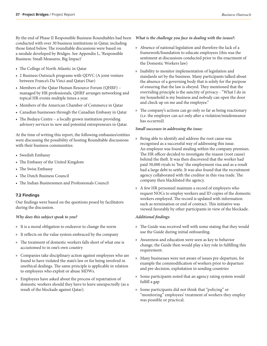By the end of Phase II Responsible Business Roundtables had been conducted with over 30 business institutions in Qatar, including those listed below. The roundtable discussions were based on a module developed by Bridges. See Appendix L, 'Responsible

• The College of North Atlantic in Qatar

Business: Small Measures, Big Impact'

- 2 Business Outreach programs with QDVC (A joint venture between France's Da Vinci and Qatari Diar)
- Members of the Qatar Human Resource Forum (QHRF) managed by HR professionals, QHRF arranges networking and topical HR events multiple times a year.
- Members of the American Chamber of Commerce in Qatar
- Canadian businesses through the Canadian Embassy in Qatar
- The Bedaya Centre a locally grown institution providing advisory services to new and potential entrepreneurs in Qatar.

At the time of writing this report, the following embassies/entities were discussing the possibility of hosting Roundtable discussions with their business communities:

- Swedish Embassy
- The Embassy of the United Kingdom
- The Swiss Embassy
- The Dutch Business Council
- The Indian Businessmen and Professionals Council

### **7.2 Findings**

Our findings were based on the questions posed by facilitators during the discussion.

### *Why does this subject speak to you?*

- » It is a moral obligation to endeavor to change the norm
- » It reflects on the value system embraced by the company
- » The treatment of domestic workers falls short of what one is accustomed to in one's own country
- » Companies take disciplinary action against employees who are found to have violated the state's law or for being involved in unethical dealings. The same principle is applicable in relation to employees who exploit or abuse MDWs.
- » Employees have asked about the process of repatriation of domestic workers should they have to leave unexpectedly (as a result of the blockade against Qatar).

### *What is the challenge you face in dealing with the issues?:*

- » Absence of national legislation and therefore the lack of a framework/foundation to educate employees (this was the sentiment at discussions conducted prior to the enactment of the Domestic Workers law)
- » Inability to monitor implementation of legislation and standards set by the business. Many participants talked about the absence of a governing body that is solely for the purpose of ensuring that the law is obeyed. They mentioned that the overriding principle is the sanctity of privacy - "What I do in my household is my business and nobody can open the door and check up on me and the employee."
- » The company's actions can go only so far as being reactionary (i.e. the employer can act only after a violation/misdemeanor has occurred)

### *Small successes in addressing the issue:*

- » Being able to identify and address the root cause was recognised as a successful way of addressing this issue. An employee was found stealing within the company premises. The HR officer decided to investigate the reason (root cause) behind the theft. It was then discovered that the worker had paid 30,000 riyals to 'buy' the employment visa and as a result had a large debt to settle. It was also found that the recruitment agency collaborated with the creditor in this visa trade. The company then blacklisted the agency.
- » A few HR personnel maintain a record of employers who request NOCs to employ workers and ID copies of the domestic workers employed. The record is updated with information such as termination or end of contract. This initiative was viewed favorably by other participants in view of the blockade.

### *Additional findings*:

- » The Guide was received well with some stating that they would use the Guide during initial onboarding.
- » Awareness and education were seen as key to behavior change, the Guide then would play a key role in fulfilling this requirement.
- » Many businesses were not aware of issues pre-departure, for example the commodification of workers prior to departure and pre-decision, exploitation in sending countries
- » Some participants noted that an agency rating system would fulfill a gap
- » Some participants did not think that "policing" or "monitoring" employees' treatment of workers they employ was possible or practical.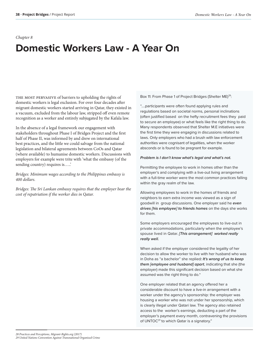### *Chapter 8*

# **Domestic Workers Law - A Year On**

THE MOST PERVASIVE of barriers to upholding the rights of domestic workers is legal exclusion. For over four decades after migrant domestic workers started arriving in Qatar, they existed in a vacuum, excluded from the labour law, stripped off even remote recognition as a worker and entirely subjugated by the Kafala law.

In the absence of a legal framework our engagement with stakeholders throughout Phase I of Bridges Project and the first half of Phase II, was informed by and drew on international best practices, and the little we could salvage from the national legislation and bilateral agreements between CoOs and Qatar (where available) to humanise domestic workers. Discussions with employers for example were trite with 'what the embassy (of the sending country) requires is…..'

*Bridges: Minimum wages according to the Philippines embassy is 400 dollars.* 

*Bridges: The Sri Lankan embassy requires that the employer bear the cost of repatriation if the worker dies in Qatar.* 

Box 11: From Phase 1 of Project Bridges (Shelter ME)<sup>28</sup>:

"....participants were often found applying rules and regulations based on societal norms, personal inclinations (often justified based on the hefty recruitment fees they paid to secure an employee) or what feels like the right thing to do. Many respondents observed that Shelter M.E initiatives were the first time they were engaging in discussions related to laws. Only employers who had a brush with law enforcement authorities were cognisant of legalities, when the worker absconds or is found to be pregnant for example.

### *Problem is I don't know what's legal and what's not.*

Permitting the employee to work in homes other than the employer's and complying with a live-out living arrangement with a full-time worker were the most common practices falling within the gray realm of the law.

Allowing employees to work in the homes of friends and neighbors to earn extra income was viewed as a sign of goodwill in group discussions. One employer said he *even drives [his employee] to friends homes* on the days she works for them.

Some employers encouraged the employees to live-out in private accommodations, particularly when the employee's spouse lived in Qatar. *[This arrangement] worked really really well.* 

When asked if the employer considered the legality of her decision to allow the worker to live with her husband who was in Doha as "a bachelor" she replied*: It's wrong of us to keep them [employee and husband] apart*, indicating that she (the employer) made this significant decision based on what she assumed was the right thing to do.\*

One employer related that an agency offered her a considerable discount to have a live-in arrangement with a worker under the agency's sponsorship: the employer was housing a worker who was not under her sponsorship, which is clearly illegal under Qatari law. The agency also retained access to the worker's earnings, deducting a part of the employer's payment every month, contravening the provisions of UNTOC<sup>29</sup> to which Qatar is a signatory."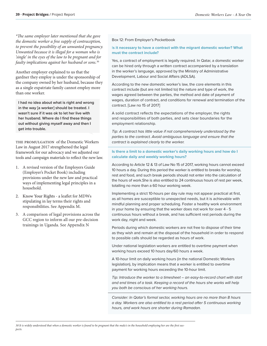*\*The same employer later mentioned that she gave the domestic worker a free supply of contraception, to prevent the possibility of an unwanted pregnancy. Unwanted because it is illegal for a woman who is 'single' in the eyes of the law to be pregnant and for faulty implications against her husband or sons.*<sup>30</sup>

Another employer explained to us that the gardner they employ is under the sponsorship of the company owned by her husband, because they as a single expatriate family cannot employ more than one worker.

**I had no idea about what is right and wrong in the way [a worker] should be treated. I wasn't sure if it was ok to let her live with her husband. Where do I find these things out without giving myself away and then I get into trouble.**

THE PROMULGATION of the Domestic Workers Law in August 2017 strengthened the legal framework for our advocacy and we adjusted our tools and campaign materials to reflect the new law.

- 1. A revised version of the Employers Guide (Employer's Pocket Book) including provisions under the new law and practical ways of implementing legal principles in a household.
- 2. Know Your Rights a leaflet for MDWs stipulating in lay terms their rights and responsibilities. See Appendix M.
- 3. A comparison of legal provisions across the GCC region to inform all our pre-decision trainings in Uganda. See Appendix N

### Box 12: From Employer's Pocketbook

### I**s it necessary to have a contract with the migrant domestic worker? What must the contract include?**

Yes, a contract of employment is legally required. In Qatar, a domestic worker can be hired only through a written contract accompanied by a translation in the worker's language, approved by the Ministry of Administrative Development, Labour and Social Affairs (ADLSA).

According to the new domestic worker's law, the core elements in this contract include (but are not limited to) the nature and type of work, the wages agreed between the parties, the method and date of payment of wages, duration of contract, and conditions for renewal and termination of the contract. [Law no 15 of 2017]

A solid contract reflects the expectations of the employer, the rights and responsibilities of both parties, and sets clear boundaries for the employment relationship.

*Tip: A contract has little value if not comprehensively understood by the parties to the contract. Avoid ambiguous language and ensure that the contract is explained clearly to the worker.* 

### **Is there a limit to a domestic worker's daily working hours and how do I calculate daily and weekly working hours?**

According to Article 12 & 13 of Law No 15 of 2017, working hours cannot exceed 10 hours a day. During this period the worker is entitled to breaks for worship, rest and food, and such break periods should not enter into the calculation of the hours of work.She is also entitled to 24 continuous hours of rest per week, totalling no more than a 60 hour working week.

Implementing a strict 10-hours per day rule may not appear practical at first, as all homes are susceptible to unexpected needs, but it is achievable with mindful planning and proper scheduling. Foster a healthy work environment in your home by ensuring that the worker does not work for over 4 - 5 continuous hours without a break, and has sufficient rest periods during the work day, night and week.

Periods during which domestic workers are not free to dispose of their time as they wish and remain at the disposal of the household in order to respond to possible calls should be regarded as hours of work.

Under national legislation workers are entitled to overtime payment when working hours exceed 10 hours day/60 hours a week.

A 10-hour limit on daily working hours (in the national Domestic Workers legislation), by implication means that a worker is entitled to overtime payment for working hours exceeding the 10-hour limit.

*Tip: Introduce the worker to a timesheet – an easy-to-record chart with start and end times of a task. Keeping a record of the hours she works will help you both be conscious of her working hours.* 

*Consider: In Qatar's formal sector, working hours are no more than 8 hours a day. Workers are also entitled to a rest period after 5 continuous working hours, and work hours are shorter during Ramadan.*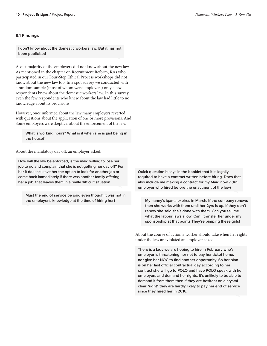### **8.1 Findings**

**I don't know about the domestic workers law. But it has not been publicised** 

A vast majority of the employers did not know about the new law. As mentioned in the chapter on Recruitment Reform, RAs who participated in our Four-Step Ethical Process workshops did not know about the new law too. In a spot survey we conducted with a random sample (most of whom were employers) only a few respondents knew about the domestic workers law. In this survey even the few respondents who knew about the law had little to no knowledge about its provisions.

However, once informed about the law many employers reverted with questions about the application of one or more provisions. And Some employers were skeptical about the enforcement of the law.

**What is working hours? What is it when she is just being in the house?**

About the mandatory day off, an employer asked:

**How will the law be enforced, is the maid willing to lose her job to go and complain that she is not getting her day off? For her it doesn't leave her the option to look for another job or come back immediately if there was another family offering her a job, that leaves them in a really difficult situation** 

**Must the end of service be paid even though it was not in the employer's knowledge at the time of hiring her?** 

**Quick question it says in the booklet that it is legally required to have a contract written before hiring. Does that also include me making a contract for my Maid now ? (An employer who hired before the enactment of the law)**

**My nanny's iqama expires in March. If the company renews then she works with them until her 2yrs is up. If they don't renew she said she's done with them. Can you tell me what the labour laws allow. Can I transfer her under my sponsorship at that point? They're pimping these girls!**

About the course of action a worker should take when her rights under the law are violated an employer asked:

**There is a lady we are hoping to hire in February who's employer is threatening her not to pay her ticket home, nor give her NOC to find another opportunity. So her plan is on her last official contractual day according to her contract she will go to POLO and have POLO speak with her employers and demand her rights. It's unlikely to be able to demand it from them then if they are hesitant on a crystal clear "right" they are hardly likely to pay her end of service since they hired her in 2016.**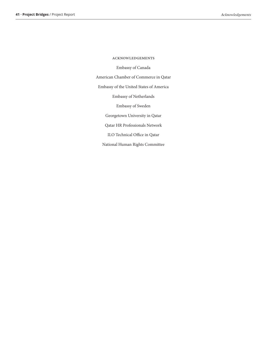Embassy of Canada American Chamber of Commerce in Qatar Embassy of the United States of America Embassy of Netherlands Embassy of Sweden Georgetown University in Qatar Qatar HR Professionals Network ILO Technical Office in Qatar National Human Rights Committee

acknowledgements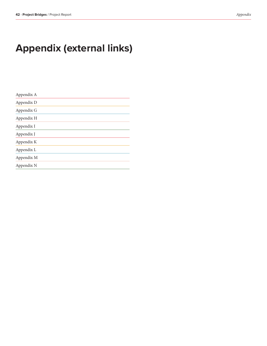# **Appendix (external links)**

| Appendix A |  |  |
|------------|--|--|
| Appendix D |  |  |
| Appendix G |  |  |
| Appendix H |  |  |
| Appendix I |  |  |
| Appendix J |  |  |
| Appendix K |  |  |
| Appendix L |  |  |
| Appendix M |  |  |
| Appendix N |  |  |
|            |  |  |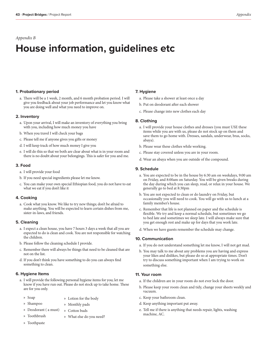### *Appendix B*

# **House information, guidelines etc**

### **1. Probationary period**

a. There will be a 1 week, 2 month, and 6 month probation period. I will give you feedback about your job performance and let you know what you are doing well and what you need to improve on.

### **2. Inventory**

- a. Upon your arrival, I will make an inventory of everything you bring with you, including how much money you have
- b. When you travel I will check your bags
- c. Please tell me if anyone gives you gifts or money
- d. I will keep track of how much money I give you
- e. I will do this so that we both are clear about what is in your room and there is no doubt about your belongings. This is safer for you and me.

### **3. Food**

- a. I will provide your food
- b. If you need special ingredients please let me know.
- c. You can make your own special Ethiopian food, you do not have to eat what we eat if you don't like it

### **4. Cooking**

a. Cook what you know. We like to try new things; don't be afraid to make anything. You will be expected to learn certain dishes from me, sister-in-laws, and friends.

### **5. Cleaning**

- a. I expect a clean house, you have 7 hours 3 days a week that all you are expected to do is clean and cook. You are not responsible for watching the children.
- b. Please follow the cleaning schedule I provide.
- c. Remember there will always be things that need to be cleaned that are not on the list.
- d. If you don't think you have something to do you can always find something to clean.

### **6. Hygiene Items**

- a. I will provide the following personal hygiene items for you; let me know if you have run out. Please do not stock up to take home. These are for you only.
	- » Soap
- » Lotion for the body
- » Shampoo
- » Deodorant ( a must) » Monthly pads » Cotton buds
	- » What else do you need?
- » Toothbrush » Toothpaste

### **7. Hygiene**

- a. Please take a shower at least once a day
- b. Put on deodorant after each shower
- c. Please change into new clothes each day

### **8. Clothing**

- a. I will provide your house clothes and dresses (you must USE these items while you are with us, please do not stock up on them and save them to go home with. Dresses, sandals, underwear, bras, socks, abaya).
- b. Please wear these clothes while working.
- c. Please stay covered unless you are in your room.
- d. Wear an abaya when you are outside of the compound.

### **9. Schedule**

- a. You are expected to be in the house by 6:30 am on weekdays, 9:00 am on Friday, and 8:00am on Saturday. You will be given breaks during the day during which you can sleep, read, or relax in your house. We generally go to bed at 8:30pm
- b. You are not expected to clean or do laundry on Friday, but occasionally you will need to cook. You will go with us to lunch at a family member's house.
- c. Remember that life is not planned on paper and the schedule is flexible. We try and keep a normal schedule, but sometimes we go to bed late and sometimes we sleep late. I will always make sure that you get enough rest and make up for days that you work late.
- d. When we have guests remember the schedule may change.

### **10. Communication**

- a. If you do not understand something let me know, I will not get mad.
- b. You may talk to me about any problems you are having and express your likes and dislikes, but please do so at appropriate times. Don't try to discuss something important when I am trying to work on something else.

### **11. Your room**

- a. If the children are in your room do not ever lock the door.
- b. Please keep your room clean and tidy, change your sheets weekly and vacuum.
- c. Keep your bathroom clean.
- d. Keep anything important put away.
- e. Tell me if there is anything that needs repair, lights, washing machine, AC.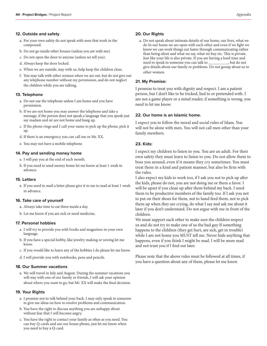### **12. Outside and safety**

- a. For your own safety do not speak with men that work in the compound.
- b. Do not go inside other houses (unless you are with me).
- c. Do not open the door to anyone (unless we tell you).
- d. Always keep the door locked.
- e. When we are outside, stay with us, help keep the children close.
- f. You may talk with other women when we are out, but do not give out any telephone number without my permission, and do not neglect the children while you are talking.

### **13. Telephone**

- a. Do not use the telephone unless I am home and you have permission.
- b. If we are not home you may answer the telephone and take a message, if the person does not speak a language that you speak just say madam and sir are not home and hang up.
- c. If the phone rings and I call your name to pick up the phone, pick it up.
- d. If there is an emergency you can call me or Mr. XX.
- e. You may not have a mobile telephone.

### **14. Pay and sending money home**

- a. I will pay you at the end of each month.
- b. If you need to send money home let me know at least 1 week in advance.

### **15. Letters**

a. If you need to mail a letter please give it to me to mail at least 1 week in advance.

### **16. Take care of yourself**

- a. Always take time to eat three meals a day.
- b. Let me know if you are sick or need medicine.

### **17. Personal hobbies**

- a. I will try to provide you with books and magazines in your own language.
- b. If you have a special hobby, like jewelry making or sewing let me know.
- c. If you would like to learn any of the hobbies I do please let me know.
- d. I will provide you with notebooks, pens and pencils.

### **18. Our Summer vacations**

a. We will travel in July and August. During the summer vacations you will stay with one of our family or friends, I will ask your opinion about where you want to go, but Mr. XX will make the final decision.

### **19. Your Rights**

- a. I promise not to talk behind your back. I may only speak to someone to give me ideas on how to resolve problems and communication.
- b. You have the right to discuss anything you are unhappy about without fear that I will become angry.
- c. You have the right to contact your family as often as you need. You can buy Q-cards and use our house phone, just let me know when you need to buy a Q-card.

### **20. Our Rights**

a. Do not speak about intimate details of our home, our lives, what we do In our home we are open with each other and even if we fight we know we can work things out faster through communicating rather than being silent and what we say, what we buy etc. This is private. Just like your life is also private. If you are having a hard time and need to speak to someone you can talk to  $\rule{1em}{0.15mm}$ give details about our family or problems. Do not gossip about us to other women.

### **21. My Promise:**

I promise to treat you with dignity and respect. I am a patient person, but I don't like to be tricked, lied to or pretended with. I am not a game player or a mind reader, if something is wrong, you need to let me know.

### **22. Our home is an Islamic home.**

I expect you to follow the moral and social rules of Islam. You will not be alone with men. You will not call men other than your family members.

### **23. Kids:**

I expect my children to listen to you. You are an adult. For their own safety they must learn to listen to you. Do not allow them to boss you around, even if it means they cry sometimes. You must treat them in a kind and patient manner, but also be firm with the rules.

I also expect my kids to work too, if I ask you not to pick up after the kids, please do not, you are not doing me or them a favor. I will be upset if you clean up after them behind my back. I need them to be productive members of the family too. If I ask you not to put on their shoes for them, not to hand feed them, not to pick them up when they are crying, do what I say and ask me about it later if you don't understand. Do not argue with me in front of the children.

We must support each other to make sure the children respect us and do not try to make one of us the bad guy If something happens to the children (they get hurt, are sick, get in trouble) while I am not home you MUST tell me. Never hide anything that happens, even if you think I might be mad. I will be more mad and not trust you if I find out later.

Please note that the above rules must be followed at all times, if you have a question about any of them, please let me know.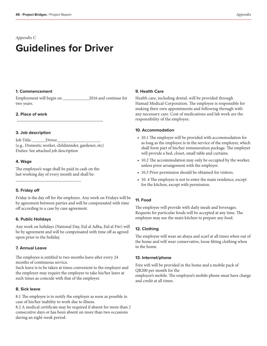# **Guidelines for Driver**

### **1. Commencement**

Employment will begin on \_\_\_\_\_\_\_\_\_\_\_\_2016 and continue for two years.

### **2. Place of work**

### **3. Job description**

Job Title: \_\_\_\_\_\_Driver\_\_\_\_\_\_\_\_\_\_\_\_\_\_\_\_\_\_\_\_ (e.g.. Domestic worker, childminder, gardener, etc) Duties: See attached job description

 $\frac{1}{2}$  , and the set of the set of the set of the set of the set of the set of the set of the set of the set of the set of the set of the set of the set of the set of the set of the set of the set of the set of the set

### **4. Wage**

The employee's wage shall be paid in cash on the last working day of every month and shall be:

\_\_\_\_\_\_\_\_\_\_\_\_\_\_\_\_\_\_\_\_\_\_\_\_\_\_\_\_\_\_

### **5. Friday off**

Friday is the day off for the employee. Any work on Fridays will be by agreement between parties and will be compensated with time off according to a case by case agreement.

### **6. Public Holidays**

Any work on holidays (National Day, Eid al Adha, Eid al Fitr) will be by agreement and will be compensated with time off as agreed upon prior to the holiday.

### **7. Annual Leave**

The employee is entitled to two months leave after every 24 months of continuous service.

Such leave is to be taken at times convenient to the employer and the employer may require the employee to take his/her leave at such times as coincide with that of the employer.

### **8. Sick leave**

8.1 The employee is to notify the employer as soon as possible in case of his/her inability to work due to illness.

8.2 A medical certificate may be required if absent for more than 2 consecutive days or has been absent on more than two occasions during an eight-week period.

### **9. Health Care**

Health care, including dental, will be provided through Hamad Medical Corporation. The employee is responsible for making their own appointments and following through with any necessary care. Cost of medications and lab work are the responsibility of the employee.

### **10. Accommodation**

- 10.1 The employee will be provided with accommodation for as long as the employee is in the service of the employer, which shall form part of his/her remuneration package. The employer will provide a bed, closet, small table and curtains.
- 10.2 The accommodation may only be occupied by the worker, unless prior arrangement with the employer.
- 10.3 Prior permission should be obtained for visitors.
- 10. 4 The employee is not to enter the main residence, except for the kitchen, except with permission.

### **11. Food**

The employee will provide with daily meals and beverages. Requests for particular foods will be accepted at any time. The employee may use the main kitchen to prepare any food.

### **12. Clothing**

The employee will wear an abaya and scarf at all times when out of the home and will wear conservative, loose fitting clothing when in the home.

### **13. Internet/phone**

Free wifi will be provided in the home and a mobile pack of QR200 per month for the employee's mobile. The employee's mobile phone must have charge and credit at all times.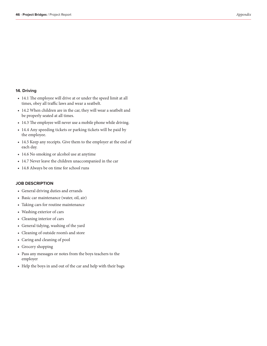### **14. Driving**

- 14.1 The employee will drive at or under the speed limit at all times, obey all traffic laws and wear a seatbelt.
- 14.2 When children are in the car, they will wear a seatbelt and be properly seated at all times.
- 14.3 The employee will never use a mobile phone while driving.
- 14.4 Any speeding tickets or parking tickets will be paid by the employee.
- 14.5 Keep any receipts. Give them to the employer at the end of each day.
- 14.6 No smoking or alcohol use at anytime
- 14.7 Never leave the children unaccompanied in the car
- 14.8 Always be on time for school runs

### **JOB DESCRIPTION**

- General driving duties and errands
- Basic car maintenance (water, oil, air)
- Taking cars for routine maintenance
- Washing exterior of cars
- Cleaning interior of cars
- General tidying, washing of the yard
- Cleaning of outside room's and store
- Caring and cleaning of pool
- Grocery shopping
- Pass any messages or notes from the boys teachers to the employer
- Help the boys in and out of the car and help with their bags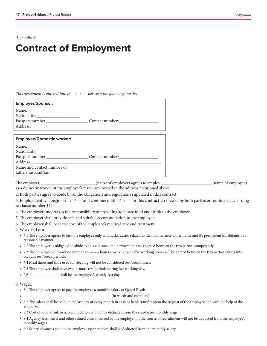### *Appendix E*

# **Contract of Employment**

*This agreement is entered into on --/--/---- between the following parties.*

| <b>Employer/Sponsor:</b>         |  |
|----------------------------------|--|
|                                  |  |
|                                  |  |
|                                  |  |
|                                  |  |
|                                  |  |
| <b>Employee/Domestic worker:</b> |  |
|                                  |  |
|                                  |  |
| Passport number: Contact number: |  |
|                                  |  |
| Name and contact number of       |  |
| father/husband/kin:              |  |

The employer, \_\_\_\_\_\_\_\_\_\_\_\_\_\_\_\_\_\_\_\_(name of employer) agrees to employ \_\_\_\_\_\_\_\_\_\_\_\_\_\_\_\_\_\_\_\_\_\_\_(name of employee) as a domestic worker at the employer's residence located in the address mentioned above.

2. Both parties agree to abide by all the obligations and regulations stipulated in this contract.

3. Employment will begin on --/--/---- and continue until --/--/---- or this contract is renewed by both parties or terminated according to clause number 11.

4. The employer undertakes the responsibility of providing adequate food and drink to the employee.

5. The employer shall provide safe and suitable accommodation to the employee.

6. The employer shall bear the cost of the employee's medical care and treatment.

7. Work and rest:

- 7.1 The employer agrees to task the employee only with tasks/duties related to the maintenance of her home and it's permanent inhabitants in a reasonable manner.
- 7.2 The employee is obligated to abide by this contract, and perform the tasks agreed between the two parties competently.
- 7.3 The employee will work no more than ------- hours a week. Reasonable working hours will be agreed between the two parties taking into account rest/break periods.
- 7.4 Meal times and time used for sleeping will not be considered rest/break times.
- 7.5 The employee shall have two or more rest periods during her working day.
- 7.6 ----------------------shall be the employee's weekly rest day.

### 8. Wages:

- 8.1 The employer agrees to pay the employee a monthly salary of Qatari Riyals
- ---------------------------------------------------------------(in words and numbers).
- 8.2 The salary shall be paid on the last day of every month in cash or bank transfer upon the request of the employee and with the help of the employer.
- 8.3 Cost of food, drink or accommodation will not be deducted from the employee's monthly wage.
- 8.4 Agency fees, travel and other related costs incurred by the employer, in the course of recruitment will not be deducted from the employee's monthly wages.
- 8.5 Salary advances paid to the employee upon request shall be deducted from the monthly salary.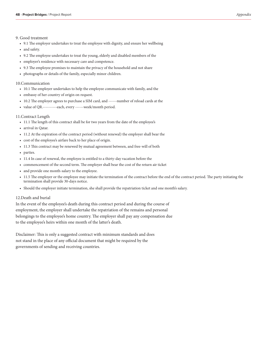### 9. Good treatment

- 9.1 The employer undertakes to treat the employee with dignity, and ensure her wellbeing
- and safety.
- 9.2 The employee undertakes to treat the young, elderly and disabled members of the
- employer's residence with necessary care and competence.
- 9.3 The employee promises to maintain the privacy of the household and not share
- photographs or details of the family, especially minor children.

### 10.Communication

- 10.1 The employer undertakes to help the employee communicate with family, and the
- embassy of her country of origin on request.
- 10.2 The employer agrees to purchase a SIM card, and ------number of reload cards at the
- value of QR.----------each, every ------week/month period.

### 11.Contract Length

- 11.1 The length of this contract shall be for two years from the date of the employee's
- arrival in Qatar.
- 11.2 At the expiration of the contract period (without renewal) the employer shall bear the
- cost of the employee's airfare back to her place of origin.
- 11.3 This contract may be renewed by mutual agreement between, and free-will of both
- parties.
- 11.4 In case of renewal, the employee is entitled to a thirty-day vacation before the
- commencement of the second term. The employer shall bear the cost of the return air ticket
- and provide one month-salary to the employee.
- 11.5 The employer or the employee may initiate the termination of the contract before the end of the contract period. The party initiating the termination shall provide 30-days notice.
- Should the employer initiate termination, she shall provide the repatriation ticket and one month's salary.

### 12.Death and burial

In the event of the employee's death during this contract period and during the course of employment, the employer shall undertake the repatriation of the remains and personal belongings to the employee's home country. The employer shall pay any compensation due to the employee's heirs within one month of the latter's death.

Disclaimer: This is only a suggested contract with minimum standards and does not stand in the place of any official document that might be required by the governments of sending and receiving countries.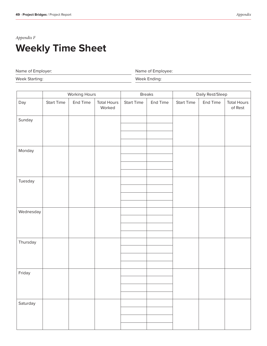# *Appendix F* **Weekly Time Sheet**

Name of Employer:

Name of Employee:

Week Starting:

Week Ending:

|           | Working Hours     |          | <b>Breaks</b>                |                   | Daily Rest/Sleep |                   |          |                               |
|-----------|-------------------|----------|------------------------------|-------------------|------------------|-------------------|----------|-------------------------------|
| Day       | <b>Start Time</b> | End Time | <b>Total Hours</b><br>Worked | <b>Start Time</b> | End Time         | <b>Start Time</b> | End Time | <b>Total Hours</b><br>of Rest |
| Sunday    |                   |          |                              |                   |                  |                   |          |                               |
|           |                   |          |                              |                   |                  |                   |          |                               |
|           |                   |          |                              |                   |                  |                   |          |                               |
|           |                   |          |                              |                   |                  |                   |          |                               |
| Monday    |                   |          |                              |                   |                  |                   |          |                               |
|           |                   |          |                              |                   |                  |                   |          |                               |
|           |                   |          |                              |                   |                  |                   |          |                               |
|           |                   |          |                              |                   |                  |                   |          |                               |
| Tuesday   |                   |          |                              |                   |                  |                   |          |                               |
|           |                   |          |                              |                   |                  |                   |          |                               |
|           |                   |          |                              |                   |                  |                   |          |                               |
|           |                   |          |                              |                   |                  |                   |          |                               |
| Wednesday |                   |          |                              |                   |                  |                   |          |                               |
|           |                   |          |                              |                   |                  |                   |          |                               |
|           |                   |          |                              |                   |                  |                   |          |                               |
|           |                   |          |                              |                   |                  |                   |          |                               |
| Thursday  |                   |          |                              |                   |                  |                   |          |                               |
|           |                   |          |                              |                   |                  |                   |          |                               |
|           |                   |          |                              |                   |                  |                   |          |                               |
|           |                   |          |                              |                   |                  |                   |          |                               |
| Friday    |                   |          |                              |                   |                  |                   |          |                               |
|           |                   |          |                              |                   |                  |                   |          |                               |
|           |                   |          |                              |                   |                  |                   |          |                               |
|           |                   |          |                              |                   |                  |                   |          |                               |
| Saturday  |                   |          |                              |                   |                  |                   |          |                               |
|           |                   |          |                              |                   |                  |                   |          |                               |
|           |                   |          |                              |                   |                  |                   |          |                               |
|           |                   |          |                              |                   |                  |                   |          |                               |